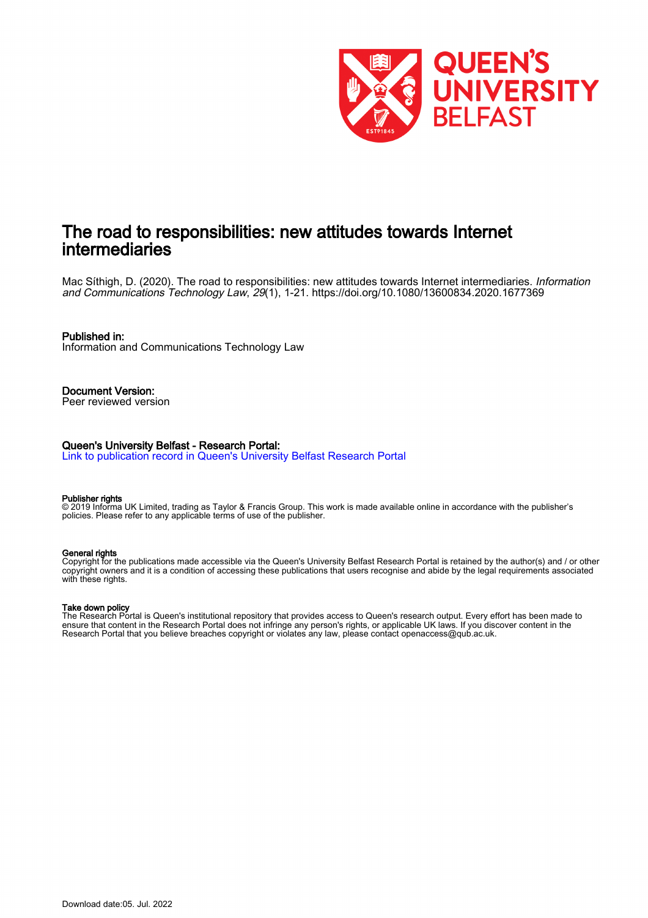

## The road to responsibilities: new attitudes towards Internet intermediaries

Mac Síthigh, D. (2020). The road to responsibilities: new attitudes towards Internet intermediaries. *Information* and Communications Technology Law, 29(1), 1-21.<https://doi.org/10.1080/13600834.2020.1677369>

### Published in:

Information and Communications Technology Law

Document Version: Peer reviewed version

### Queen's University Belfast - Research Portal:

[Link to publication record in Queen's University Belfast Research Portal](https://pure.qub.ac.uk/en/publications/8f0b18a4-8a49-4122-9405-e4d3dadd8875)

#### Publisher rights

© 2019 Informa UK Limited, trading as Taylor & Francis Group. This work is made available online in accordance with the publisher's policies. Please refer to any applicable terms of use of the publisher.

#### General rights

Copyright for the publications made accessible via the Queen's University Belfast Research Portal is retained by the author(s) and / or other copyright owners and it is a condition of accessing these publications that users recognise and abide by the legal requirements associated with these rights.

### Take down policy

The Research Portal is Queen's institutional repository that provides access to Queen's research output. Every effort has been made to ensure that content in the Research Portal does not infringe any person's rights, or applicable UK laws. If you discover content in the Research Portal that you believe breaches copyright or violates any law, please contact openaccess@qub.ac.uk.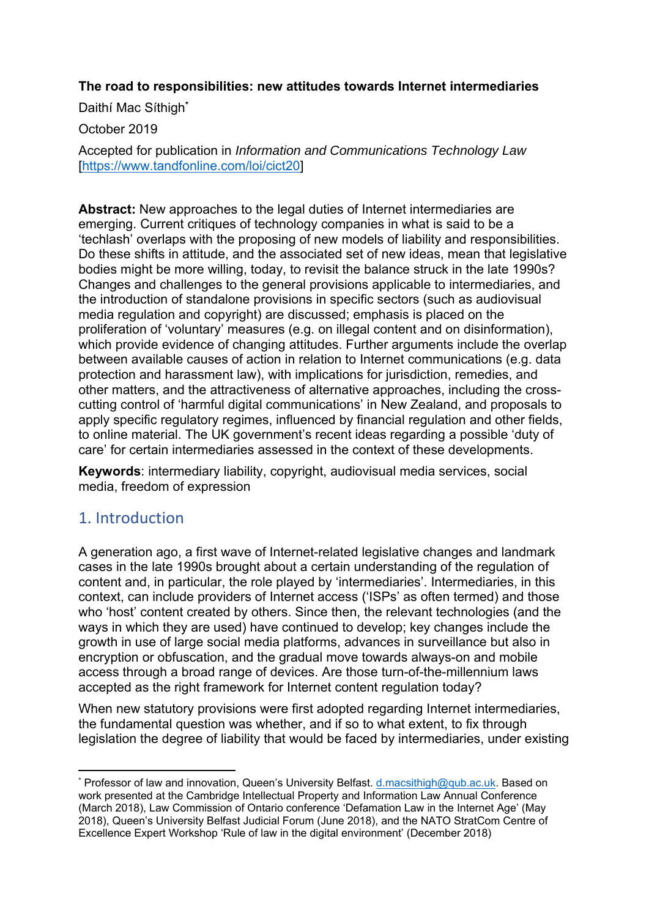### **The road to responsibilities: new attitudes towards Internet intermediaries**

Daithí Mac Síthigh**\***

October 2019

Accepted for publication in *Information and Communications Technology Law*  [https://www.tandfonline.com/loi/cict20]

**Abstract:** New approaches to the legal duties of Internet intermediaries are emerging. Current critiques of technology companies in what is said to be a 'techlash' overlaps with the proposing of new models of liability and responsibilities. Do these shifts in attitude, and the associated set of new ideas, mean that legislative bodies might be more willing, today, to revisit the balance struck in the late 1990s? Changes and challenges to the general provisions applicable to intermediaries, and the introduction of standalone provisions in specific sectors (such as audiovisual media regulation and copyright) are discussed; emphasis is placed on the proliferation of 'voluntary' measures (e.g. on illegal content and on disinformation), which provide evidence of changing attitudes. Further arguments include the overlap between available causes of action in relation to Internet communications (e.g. data protection and harassment law), with implications for jurisdiction, remedies, and other matters, and the attractiveness of alternative approaches, including the crosscutting control of 'harmful digital communications' in New Zealand, and proposals to apply specific regulatory regimes, influenced by financial regulation and other fields, to online material. The UK government's recent ideas regarding a possible 'duty of care' for certain intermediaries assessed in the context of these developments.

**Keywords**: intermediary liability, copyright, audiovisual media services, social media, freedom of expression

# 1. Introduction

A generation ago, a first wave of Internet-related legislative changes and landmark cases in the late 1990s brought about a certain understanding of the regulation of content and, in particular, the role played by 'intermediaries'. Intermediaries, in this context, can include providers of Internet access ('ISPs' as often termed) and those who 'host' content created by others. Since then, the relevant technologies (and the ways in which they are used) have continued to develop; key changes include the growth in use of large social media platforms, advances in surveillance but also in encryption or obfuscation, and the gradual move towards always-on and mobile access through a broad range of devices. Are those turn-of-the-millennium laws accepted as the right framework for Internet content regulation today?

When new statutory provisions were first adopted regarding Internet intermediaries, the fundamental question was whether, and if so to what extent, to fix through legislation the degree of liability that would be faced by intermediaries, under existing

 $^{\ast}$  Professor of law and innovation, Queen's University Belfast. <u>d.macsithigh@qub.ac.uk</u>. Based on work presented at the Cambridge Intellectual Property and Information Law Annual Conference (March 2018), Law Commission of Ontario conference 'Defamation Law in the Internet Age' (May 2018), Queen's University Belfast Judicial Forum (June 2018), and the NATO StratCom Centre of Excellence Expert Workshop 'Rule of law in the digital environment' (December 2018)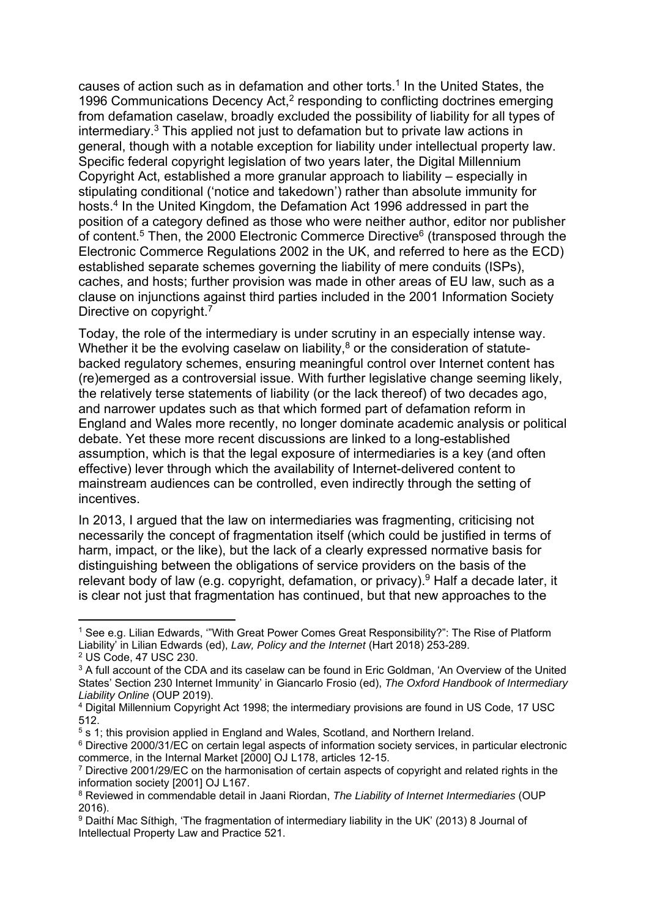causes of action such as in defamation and other torts.<sup>1</sup> In the United States, the 1996 Communications Decency Act,<sup>2</sup> responding to conflicting doctrines emerging from defamation caselaw, broadly excluded the possibility of liability for all types of intermediary.3 This applied not just to defamation but to private law actions in general, though with a notable exception for liability under intellectual property law. Specific federal copyright legislation of two years later, the Digital Millennium Copyright Act, established a more granular approach to liability – especially in stipulating conditional ('notice and takedown') rather than absolute immunity for hosts.4 In the United Kingdom, the Defamation Act 1996 addressed in part the position of a category defined as those who were neither author, editor nor publisher of content.<sup>5</sup> Then, the 2000 Electronic Commerce Directive<sup>6</sup> (transposed through the Electronic Commerce Regulations 2002 in the UK, and referred to here as the ECD) established separate schemes governing the liability of mere conduits (ISPs), caches, and hosts; further provision was made in other areas of EU law, such as a clause on injunctions against third parties included in the 2001 Information Society Directive on copyright.<sup>7</sup>

Today, the role of the intermediary is under scrutiny in an especially intense way. Whether it be the evolving caselaw on liability, $8$  or the consideration of statutebacked regulatory schemes, ensuring meaningful control over Internet content has (re)emerged as a controversial issue. With further legislative change seeming likely, the relatively terse statements of liability (or the lack thereof) of two decades ago, and narrower updates such as that which formed part of defamation reform in England and Wales more recently, no longer dominate academic analysis or political debate. Yet these more recent discussions are linked to a long-established assumption, which is that the legal exposure of intermediaries is a key (and often effective) lever through which the availability of Internet-delivered content to mainstream audiences can be controlled, even indirectly through the setting of **incentives** 

In 2013, I argued that the law on intermediaries was fragmenting, criticising not necessarily the concept of fragmentation itself (which could be justified in terms of harm, impact, or the like), but the lack of a clearly expressed normative basis for distinguishing between the obligations of service providers on the basis of the relevant body of law (e.g. copyright, defamation, or privacy).<sup>9</sup> Half a decade later, it is clear not just that fragmentation has continued, but that new approaches to the

<sup>&</sup>lt;sup>1</sup> See e.g. Lilian Edwards, "'With Great Power Comes Great Responsibility?": The Rise of Platform Liability' in Lilian Edwards (ed), *Law, Policy and the Internet* (Hart 2018) 253-289. 2 US Code, 47 USC 230.

<sup>&</sup>lt;sup>3</sup> A full account of the CDA and its caselaw can be found in Eric Goldman, 'An Overview of the United States' Section 230 Internet Immunity' in Giancarlo Frosio (ed), *The Oxford Handbook of Intermediary Liability Online* (OUP 2019).

<sup>4</sup> Digital Millennium Copyright Act 1998; the intermediary provisions are found in US Code, 17 USC 512.

<sup>&</sup>lt;sup>5</sup> s 1; this provision applied in England and Wales, Scotland, and Northern Ireland.

 $6$  Directive 2000/31/EC on certain legal aspects of information society services, in particular electronic commerce, in the Internal Market [2000] OJ L178, articles 12-15.

 $\frac{7}{2}$  Directive 2001/29/EC on the harmonisation of certain aspects of copyright and related rights in the information society [2001] OJ L167.

<sup>8</sup> Reviewed in commendable detail in Jaani Riordan, *The Liability of Internet Intermediaries* (OUP 2016).

<sup>9</sup> Daithí Mac Síthigh, 'The fragmentation of intermediary liability in the UK' (2013) 8 Journal of Intellectual Property Law and Practice 521.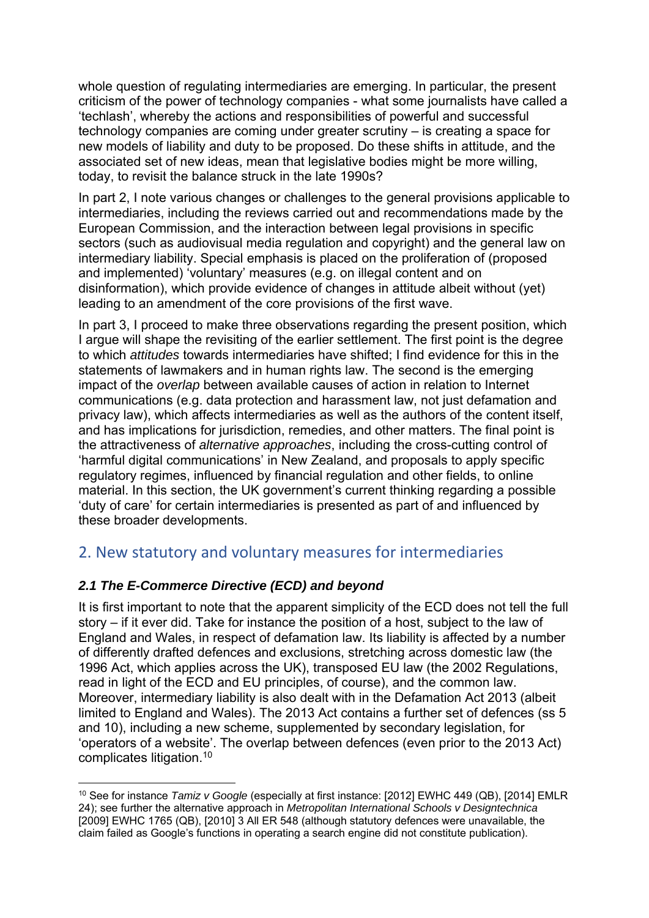whole question of regulating intermediaries are emerging. In particular, the present criticism of the power of technology companies - what some journalists have called a 'techlash', whereby the actions and responsibilities of powerful and successful technology companies are coming under greater scrutiny – is creating a space for new models of liability and duty to be proposed. Do these shifts in attitude, and the associated set of new ideas, mean that legislative bodies might be more willing, today, to revisit the balance struck in the late 1990s?

In part 2, I note various changes or challenges to the general provisions applicable to intermediaries, including the reviews carried out and recommendations made by the European Commission, and the interaction between legal provisions in specific sectors (such as audiovisual media regulation and copyright) and the general law on intermediary liability. Special emphasis is placed on the proliferation of (proposed and implemented) 'voluntary' measures (e.g. on illegal content and on disinformation), which provide evidence of changes in attitude albeit without (yet) leading to an amendment of the core provisions of the first wave.

In part 3, I proceed to make three observations regarding the present position, which I argue will shape the revisiting of the earlier settlement. The first point is the degree to which *attitudes* towards intermediaries have shifted; I find evidence for this in the statements of lawmakers and in human rights law. The second is the emerging impact of the *overlap* between available causes of action in relation to Internet communications (e.g. data protection and harassment law, not just defamation and privacy law), which affects intermediaries as well as the authors of the content itself, and has implications for jurisdiction, remedies, and other matters. The final point is the attractiveness of *alternative approaches*, including the cross-cutting control of 'harmful digital communications' in New Zealand, and proposals to apply specific regulatory regimes, influenced by financial regulation and other fields, to online material. In this section, the UK government's current thinking regarding a possible 'duty of care' for certain intermediaries is presented as part of and influenced by these broader developments.

# 2. New statutory and voluntary measures for intermediaries

## *2.1 The E-Commerce Directive (ECD) and beyond*

It is first important to note that the apparent simplicity of the ECD does not tell the full story – if it ever did. Take for instance the position of a host, subject to the law of England and Wales, in respect of defamation law. Its liability is affected by a number of differently drafted defences and exclusions, stretching across domestic law (the 1996 Act, which applies across the UK), transposed EU law (the 2002 Regulations, read in light of the ECD and EU principles, of course), and the common law. Moreover, intermediary liability is also dealt with in the Defamation Act 2013 (albeit limited to England and Wales). The 2013 Act contains a further set of defences (ss 5 and 10), including a new scheme, supplemented by secondary legislation, for 'operators of a website'. The overlap between defences (even prior to the 2013 Act) complicates litigation.10

 10 See for instance *Tamiz v Google* (especially at first instance: [2012] EWHC 449 (QB), [2014] EMLR 24); see further the alternative approach in *Metropolitan International Schools v Designtechnica*  [2009] EWHC 1765 (QB), [2010] 3 All ER 548 (although statutory defences were unavailable, the claim failed as Google's functions in operating a search engine did not constitute publication).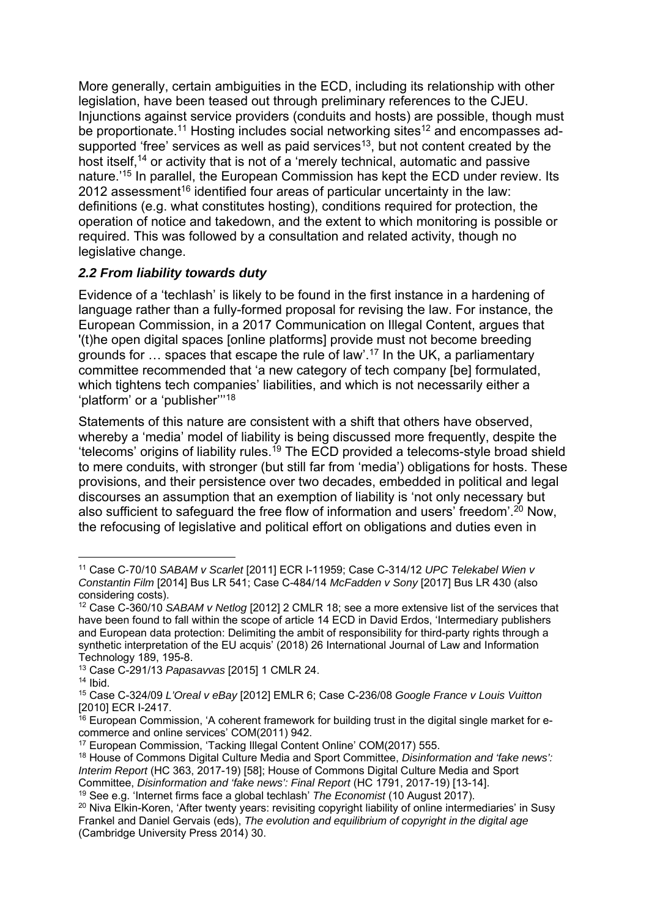More generally, certain ambiguities in the ECD, including its relationship with other legislation, have been teased out through preliminary references to the CJEU. Injunctions against service providers (conduits and hosts) are possible, though must be proportionate.<sup>11</sup> Hosting includes social networking sites<sup>12</sup> and encompasses adsupported 'free' services as well as paid services<sup>13</sup>, but not content created by the host itself,<sup>14</sup> or activity that is not of a 'merely technical, automatic and passive nature.'15 In parallel, the European Commission has kept the ECD under review. Its  $2012$  assessment<sup>16</sup> identified four areas of particular uncertainty in the law: definitions (e.g. what constitutes hosting), conditions required for protection, the operation of notice and takedown, and the extent to which monitoring is possible or required. This was followed by a consultation and related activity, though no legislative change.

## *2.2 From liability towards duty*

Evidence of a 'techlash' is likely to be found in the first instance in a hardening of language rather than a fully-formed proposal for revising the law. For instance, the European Commission, in a 2017 Communication on Illegal Content, argues that '(t)he open digital spaces [online platforms] provide must not become breeding grounds for ... spaces that escape the rule of law'.<sup>17</sup> In the UK, a parliamentary committee recommended that 'a new category of tech company [be] formulated, which tightens tech companies' liabilities, and which is not necessarily either a 'platform' or a 'publisher'''18

Statements of this nature are consistent with a shift that others have observed, whereby a 'media' model of liability is being discussed more frequently, despite the 'telecoms' origins of liability rules.<sup>19</sup> The ECD provided a telecoms-style broad shield to mere conduits, with stronger (but still far from 'media') obligations for hosts. These provisions, and their persistence over two decades, embedded in political and legal discourses an assumption that an exemption of liability is 'not only necessary but also sufficient to safeguard the free flow of information and users' freedom'.<sup>20</sup> Now, the refocusing of legislative and political effort on obligations and duties even in

<sup>11</sup> Case C-70/10 *SABAM v Scarlet* [2011] ECR I-11959; Case C-314/12 *UPC Telekabel Wien v Constantin Film* [2014] Bus LR 541; Case C-484/14 *McFadden v Sony* [2017] Bus LR 430 (also considering costs).

<sup>12</sup> Case C-360/10 *SABAM v Netlog* [2012] 2 CMLR 18; see a more extensive list of the services that have been found to fall within the scope of article 14 ECD in David Erdos, 'Intermediary publishers and European data protection: Delimiting the ambit of responsibility for third-party rights through a synthetic interpretation of the EU acquis' (2018) 26 International Journal of Law and Information Technology 189, 195-8.

<sup>13</sup> Case C-291/13 *Papasavvas* [2015] 1 CMLR 24.

 $14$  Ibid.

<sup>15</sup> Case C-324/09 *L'Oreal v eBay* [2012] EMLR 6; Case C-236/08 *Google France v Louis Vuitton*  [2010] ECR I-2417.

 $16$  European Commission, 'A coherent framework for building trust in the digital single market for ecommerce and online services' COM(2011) 942.

<sup>&</sup>lt;sup>17</sup> European Commission, 'Tacking Illegal Content Online' COM(2017) 555.

<sup>18</sup> House of Commons Digital Culture Media and Sport Committee, *Disinformation and 'fake news': Interim Report* (HC 363, 2017-19) [58]; House of Commons Digital Culture Media and Sport Committee, *Disinformation and 'fake news': Final Report* (HC 1791, 2017-19) [13-14].

<sup>19</sup> See e.g. 'Internet firms face a global techlash' *The Economist* (10 August 2017).

<sup>&</sup>lt;sup>20</sup> Niva Elkin-Koren, 'After twenty years: revisiting copyright liability of online intermediaries' in Susy Frankel and Daniel Gervais (eds), *The evolution and equilibrium of copyright in the digital age*  (Cambridge University Press 2014) 30.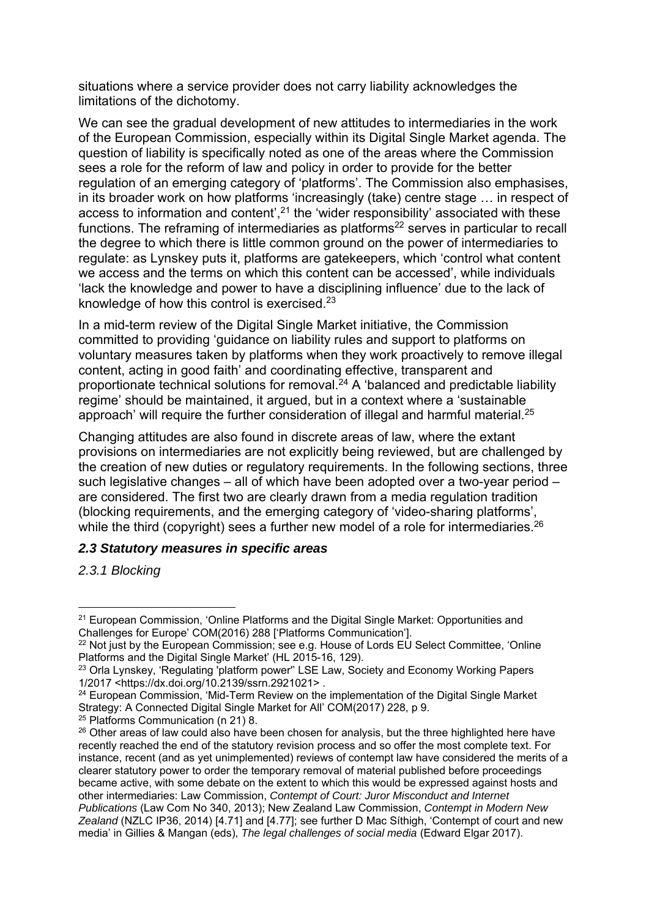situations where a service provider does not carry liability acknowledges the limitations of the dichotomy.

We can see the gradual development of new attitudes to intermediaries in the work of the European Commission, especially within its Digital Single Market agenda. The question of liability is specifically noted as one of the areas where the Commission sees a role for the reform of law and policy in order to provide for the better regulation of an emerging category of 'platforms'. The Commission also emphasises, in its broader work on how platforms 'increasingly (take) centre stage … in respect of access to information and content',<sup>21</sup> the 'wider responsibility' associated with these functions. The reframing of intermediaries as platforms<sup>22</sup> serves in particular to recall the degree to which there is little common ground on the power of intermediaries to regulate: as Lynskey puts it, platforms are gatekeepers, which 'control what content we access and the terms on which this content can be accessed', while individuals 'lack the knowledge and power to have a disciplining influence' due to the lack of knowledge of how this control is exercised.23

In a mid-term review of the Digital Single Market initiative, the Commission committed to providing 'guidance on liability rules and support to platforms on voluntary measures taken by platforms when they work proactively to remove illegal content, acting in good faith' and coordinating effective, transparent and proportionate technical solutions for removal.24 A 'balanced and predictable liability regime' should be maintained, it argued, but in a context where a 'sustainable approach' will require the further consideration of illegal and harmful material.<sup>25</sup>

Changing attitudes are also found in discrete areas of law, where the extant provisions on intermediaries are not explicitly being reviewed, but are challenged by the creation of new duties or regulatory requirements. In the following sections, three such legislative changes – all of which have been adopted over a two-year period – are considered. The first two are clearly drawn from a media regulation tradition (blocking requirements, and the emerging category of 'video-sharing platforms', while the third (copyright) sees a further new model of a role for intermediaries.<sup>26</sup>

### *2.3 Statutory measures in specific areas*

*2.3.1 Blocking* 

25 Platforms Communication (n 21) 8.

  $21$  European Commission, 'Online Platforms and the Digital Single Market: Opportunities and Challenges for Europe' COM(2016) 288 ['Platforms Communication'].

<sup>&</sup>lt;sup>22</sup> Not just by the European Commission; see e.g. House of Lords EU Select Committee, 'Online Platforms and the Digital Single Market' (HL 2015-16, 129).

<sup>&</sup>lt;sup>23</sup> Orla Lynskey, 'Regulating 'platform power" LSE Law, Society and Economy Working Papers 1/2017 <https://dx.doi.org/10.2139/ssrn.2921021> .

 $24$  European Commission, 'Mid-Term Review on the implementation of the Digital Single Market Strategy: A Connected Digital Single Market for All' COM(2017) 228, p 9.

<sup>&</sup>lt;sup>26</sup> Other areas of law could also have been chosen for analysis, but the three highlighted here have recently reached the end of the statutory revision process and so offer the most complete text. For instance, recent (and as yet unimplemented) reviews of contempt law have considered the merits of a clearer statutory power to order the temporary removal of material published before proceedings became active, with some debate on the extent to which this would be expressed against hosts and other intermediaries: Law Commission, *Contempt of Court: Juror Misconduct and Internet Publications* (Law Com No 340, 2013); New Zealand Law Commission, *Contempt in Modern New*  Zealand (NZLC IP36, 2014) [4.71] and [4.77]; see further D Mac Sithigh, 'Contempt of court and new media' in Gillies & Mangan (eds), *The legal challenges of social media* (Edward Elgar 2017).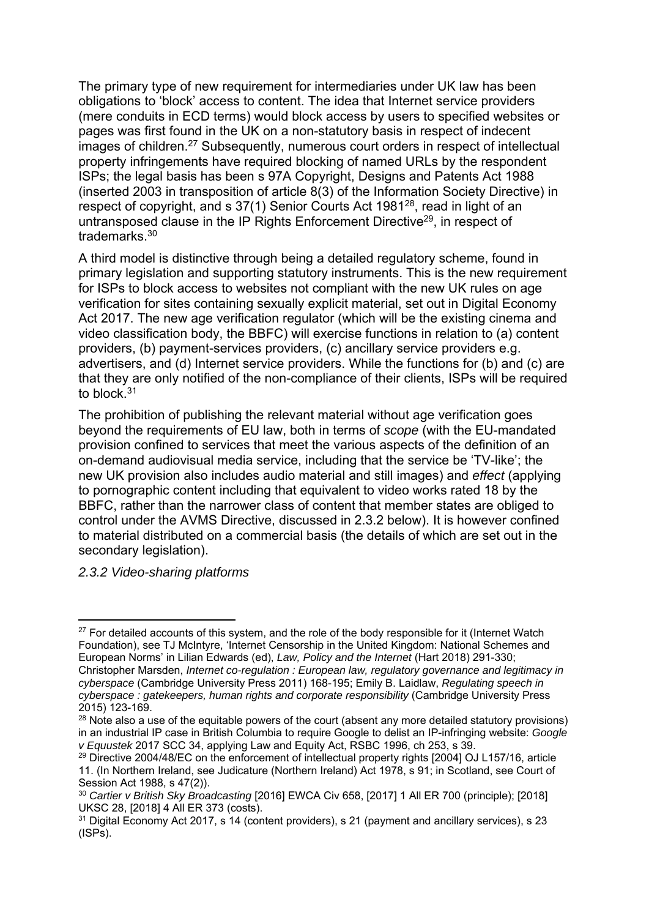The primary type of new requirement for intermediaries under UK law has been obligations to 'block' access to content. The idea that Internet service providers (mere conduits in ECD terms) would block access by users to specified websites or pages was first found in the UK on a non-statutory basis in respect of indecent images of children.27 Subsequently, numerous court orders in respect of intellectual property infringements have required blocking of named URLs by the respondent ISPs; the legal basis has been s 97A Copyright, Designs and Patents Act 1988 (inserted 2003 in transposition of article 8(3) of the Information Society Directive) in respect of copyright, and s 37(1) Senior Courts Act 198128, read in light of an untransposed clause in the IP Rights Enforcement Directive<sup>29</sup>, in respect of trademarks.30

A third model is distinctive through being a detailed regulatory scheme, found in primary legislation and supporting statutory instruments. This is the new requirement for ISPs to block access to websites not compliant with the new UK rules on age verification for sites containing sexually explicit material, set out in Digital Economy Act 2017. The new age verification regulator (which will be the existing cinema and video classification body, the BBFC) will exercise functions in relation to (a) content providers, (b) payment-services providers, (c) ancillary service providers e.g. advertisers, and (d) Internet service providers. While the functions for (b) and (c) are that they are only notified of the non-compliance of their clients, ISPs will be required to block.31

The prohibition of publishing the relevant material without age verification goes beyond the requirements of EU law, both in terms of *scope* (with the EU-mandated provision confined to services that meet the various aspects of the definition of an on-demand audiovisual media service, including that the service be 'TV-like'; the new UK provision also includes audio material and still images) and *effect* (applying to pornographic content including that equivalent to video works rated 18 by the BBFC, rather than the narrower class of content that member states are obliged to control under the AVMS Directive, discussed in 2.3.2 below). It is however confined to material distributed on a commercial basis (the details of which are set out in the secondary legislation).

### *2.3.2 Video-sharing platforms*

 $27$  For detailed accounts of this system, and the role of the body responsible for it (Internet Watch Foundation), see TJ McIntyre, 'Internet Censorship in the United Kingdom: National Schemes and European Norms' in Lilian Edwards (ed), *Law, Policy and the Internet* (Hart 2018) 291-330; Christopher Marsden, *Internet co-regulation : European law, regulatory governance and legitimacy in cyberspace* (Cambridge University Press 2011) 168-195; Emily B. Laidlaw, *Regulating speech in cyberspace : gatekeepers, human rights and corporate responsibility* (Cambridge University Press 2015) 123-169.

 $28$  Note also a use of the equitable powers of the court (absent any more detailed statutory provisions) in an industrial IP case in British Columbia to require Google to delist an IP-infringing website: *Google v Equustek* 2017 SCC 34, applying Law and Equity Act, RSBC 1996, ch 253, s 39.

<sup>&</sup>lt;sup>29</sup> Directive 2004/48/EC on the enforcement of intellectual property rights [2004] OJ L157/16, article 11. (In Northern Ireland, see Judicature (Northern Ireland) Act 1978, s 91; in Scotland, see Court of Session Act 1988, s 47(2)).

<sup>30</sup> *Cartier v British Sky Broadcasting* [2016] EWCA Civ 658, [2017] 1 All ER 700 (principle); [2018] UKSC 28, [2018] 4 All ER 373 (costs).

<sup>31</sup> Digital Economy Act 2017, s 14 (content providers), s 21 (payment and ancillary services), s 23 (ISPs).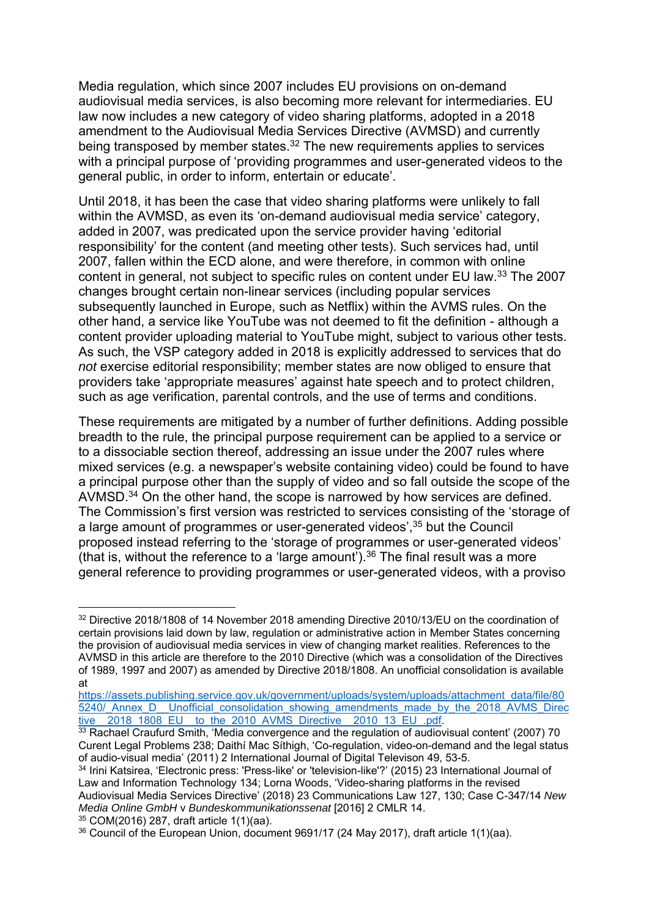Media regulation, which since 2007 includes EU provisions on on-demand audiovisual media services, is also becoming more relevant for intermediaries. EU law now includes a new category of video sharing platforms, adopted in a 2018 amendment to the Audiovisual Media Services Directive (AVMSD) and currently being transposed by member states.<sup>32</sup> The new requirements applies to services with a principal purpose of 'providing programmes and user-generated videos to the general public, in order to inform, entertain or educate'.

Until 2018, it has been the case that video sharing platforms were unlikely to fall within the AVMSD, as even its 'on-demand audiovisual media service' category, added in 2007, was predicated upon the service provider having 'editorial responsibility' for the content (and meeting other tests). Such services had, until 2007, fallen within the ECD alone, and were therefore, in common with online content in general, not subject to specific rules on content under EU law.33 The 2007 changes brought certain non-linear services (including popular services subsequently launched in Europe, such as Netflix) within the AVMS rules. On the other hand, a service like YouTube was not deemed to fit the definition - although a content provider uploading material to YouTube might, subject to various other tests. As such, the VSP category added in 2018 is explicitly addressed to services that do *not* exercise editorial responsibility; member states are now obliged to ensure that providers take 'appropriate measures' against hate speech and to protect children, such as age verification, parental controls, and the use of terms and conditions.

These requirements are mitigated by a number of further definitions. Adding possible breadth to the rule, the principal purpose requirement can be applied to a service or to a dissociable section thereof, addressing an issue under the 2007 rules where mixed services (e.g. a newspaper's website containing video) could be found to have a principal purpose other than the supply of video and so fall outside the scope of the AVMSD.34 On the other hand, the scope is narrowed by how services are defined. The Commission's first version was restricted to services consisting of the 'storage of a large amount of programmes or user-generated videos',<sup>35</sup> but the Council proposed instead referring to the 'storage of programmes or user-generated videos' (that is, without the reference to a 'large amount').36 The final result was a more general reference to providing programmes or user-generated videos, with a proviso

 <sup>32</sup> Directive 2018/1808 of 14 November 2018 amending Directive 2010/13/EU on the coordination of certain provisions laid down by law, regulation or administrative action in Member States concerning the provision of audiovisual media services in view of changing market realities. References to the AVMSD in this article are therefore to the 2010 Directive (which was a consolidation of the Directives of 1989, 1997 and 2007) as amended by Directive 2018/1808. An unofficial consolidation is available at

https://assets.publishing.service.gov.uk/government/uploads/system/uploads/attachment\_data/file/80 5240/ Annex D Unofficial consolidation showing amendments made by the 2018 AVMS Directive 2018 1808 EU to the 2010 AVMS Directive 2010 13 EU pdf.

<sup>33</sup> Rachael Craufurd Smith, 'Media convergence and the regulation of audiovisual content' (2007) 70 Curent Legal Problems 238; Daithí Mac Síthigh, 'Co-regulation, video-on-demand and the legal status of audio-visual media' (2011) 2 International Journal of Digital Televison 49, 53-5.

<sup>&</sup>lt;sup>34</sup> Irini Katsirea, 'Electronic press: 'Press-like' or 'television-like'?' (2015) 23 International Journal of Law and Information Technology 134; Lorna Woods, 'Video-sharing platforms in the revised Audiovisual Media Services Directive' (2018) 23 Communications Law 127, 130; Case C-347/14 *New Media Online GmbH* v *Bundeskommunikationssenat* [2016] 2 CMLR 14.

<sup>35</sup> COM(2016) 287, draft article 1(1)(aa).

<sup>&</sup>lt;sup>36</sup> Council of the European Union, document 9691/17 (24 May 2017), draft article 1(1)(aa).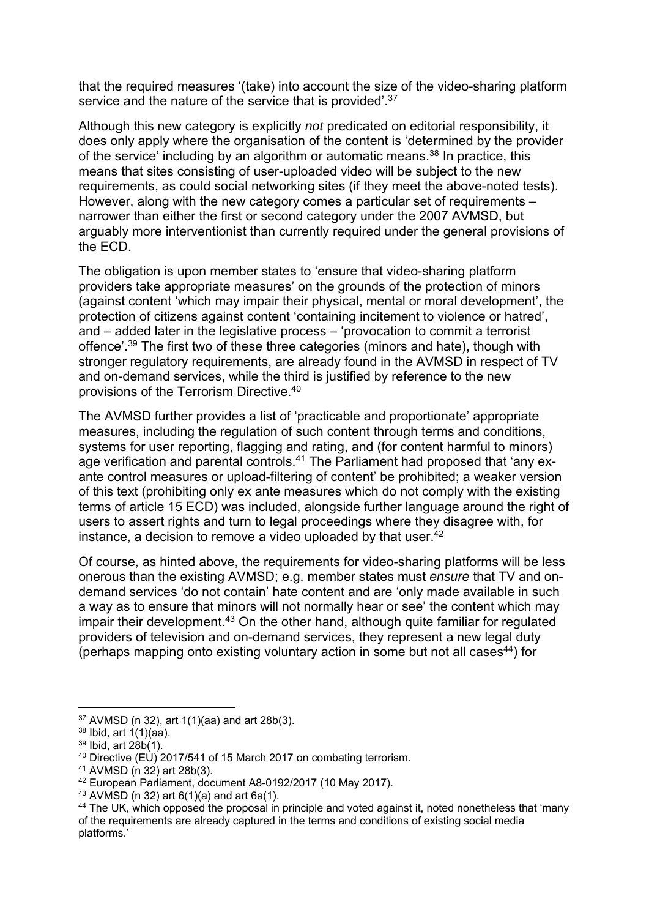that the required measures '(take) into account the size of the video-sharing platform service and the nature of the service that is provided'.<sup>37</sup>

Although this new category is explicitly *not* predicated on editorial responsibility, it does only apply where the organisation of the content is 'determined by the provider of the service' including by an algorithm or automatic means.<sup>38</sup> In practice, this means that sites consisting of user-uploaded video will be subject to the new requirements, as could social networking sites (if they meet the above-noted tests). However, along with the new category comes a particular set of requirements – narrower than either the first or second category under the 2007 AVMSD, but arguably more interventionist than currently required under the general provisions of the ECD.

The obligation is upon member states to 'ensure that video-sharing platform providers take appropriate measures' on the grounds of the protection of minors (against content 'which may impair their physical, mental or moral development', the protection of citizens against content 'containing incitement to violence or hatred', and – added later in the legislative process – 'provocation to commit a terrorist offence'.39 The first two of these three categories (minors and hate), though with stronger regulatory requirements, are already found in the AVMSD in respect of TV and on-demand services, while the third is justified by reference to the new provisions of the Terrorism Directive.40

The AVMSD further provides a list of 'practicable and proportionate' appropriate measures, including the regulation of such content through terms and conditions, systems for user reporting, flagging and rating, and (for content harmful to minors) age verification and parental controls.41 The Parliament had proposed that 'any exante control measures or upload-filtering of content' be prohibited; a weaker version of this text (prohibiting only ex ante measures which do not comply with the existing terms of article 15 ECD) was included, alongside further language around the right of users to assert rights and turn to legal proceedings where they disagree with, for instance, a decision to remove a video uploaded by that user.<sup>42</sup>

Of course, as hinted above, the requirements for video-sharing platforms will be less onerous than the existing AVMSD; e.g. member states must *ensure* that TV and ondemand services 'do not contain' hate content and are 'only made available in such a way as to ensure that minors will not normally hear or see' the content which may impair their development.<sup>43</sup> On the other hand, although quite familiar for regulated providers of television and on-demand services, they represent a new legal duty (perhaps mapping onto existing voluntary action in some but not all cases<sup>44</sup>) for

 37 AVMSD (n 32), art 1(1)(aa) and art 28b(3).

 $38$  Ibid, art  $1(1)(aa)$ .

<sup>39</sup> Ibid, art 28b(1).

 $40$  Directive (EU) 2017/541 of 15 March 2017 on combating terrorism.

<sup>41</sup> AVMSD (n 32) art 28b(3).

<sup>42</sup> European Parliament, document A8-0192/2017 (10 May 2017).

 $43$  AVMSD (n 32) art 6(1)(a) and art 6a(1).

<sup>&</sup>lt;sup>44</sup> The UK, which opposed the proposal in principle and voted against it, noted nonetheless that 'many of the requirements are already captured in the terms and conditions of existing social media platforms.'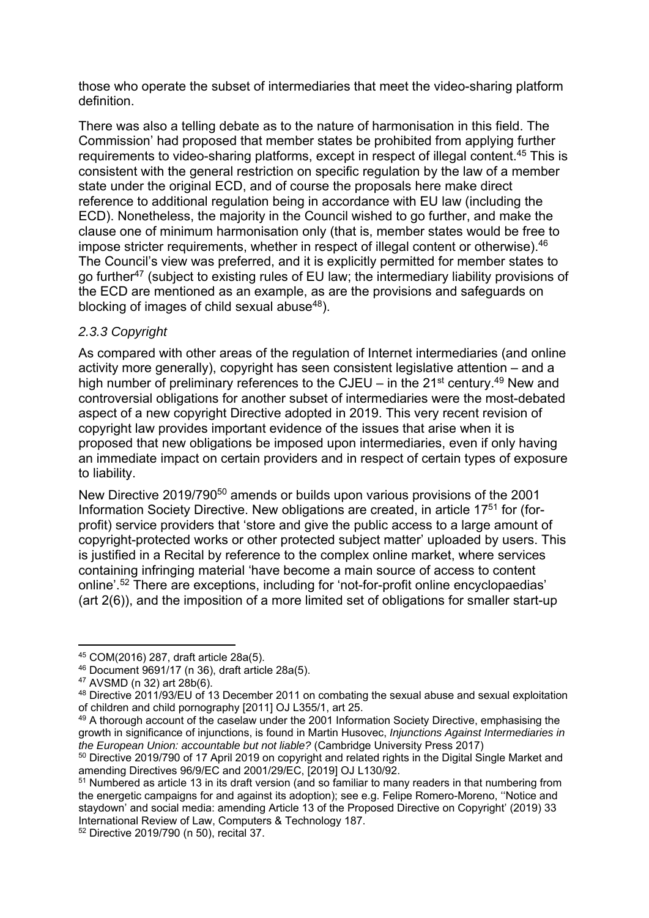those who operate the subset of intermediaries that meet the video-sharing platform definition.

There was also a telling debate as to the nature of harmonisation in this field. The Commission' had proposed that member states be prohibited from applying further requirements to video-sharing platforms, except in respect of illegal content.<sup>45</sup> This is consistent with the general restriction on specific regulation by the law of a member state under the original ECD, and of course the proposals here make direct reference to additional regulation being in accordance with EU law (including the ECD). Nonetheless, the majority in the Council wished to go further, and make the clause one of minimum harmonisation only (that is, member states would be free to impose stricter requirements, whether in respect of illegal content or otherwise).<sup>46</sup> The Council's view was preferred, and it is explicitly permitted for member states to go further<sup>47</sup> (subject to existing rules of EU law; the intermediary liability provisions of the ECD are mentioned as an example, as are the provisions and safeguards on blocking of images of child sexual abuse $48$ ).

### *2.3.3 Copyright*

As compared with other areas of the regulation of Internet intermediaries (and online activity more generally), copyright has seen consistent legislative attention – and a high number of preliminary references to the CJEU – in the 21<sup>st</sup> century.<sup>49</sup> New and controversial obligations for another subset of intermediaries were the most-debated aspect of a new copyright Directive adopted in 2019. This very recent revision of copyright law provides important evidence of the issues that arise when it is proposed that new obligations be imposed upon intermediaries, even if only having an immediate impact on certain providers and in respect of certain types of exposure to liability.

New Directive 2019/790<sup>50</sup> amends or builds upon various provisions of the 2001 Information Society Directive. New obligations are created, in article 1751 for (forprofit) service providers that 'store and give the public access to a large amount of copyright-protected works or other protected subject matter' uploaded by users. This is justified in a Recital by reference to the complex online market, where services containing infringing material 'have become a main source of access to content online'.52 There are exceptions, including for 'not-for-profit online encyclopaedias' (art 2(6)), and the imposition of a more limited set of obligations for smaller start-up

 45 COM(2016) 287, draft article 28a(5).

<sup>46</sup> Document 9691/17 (n 36), draft article 28a(5).

<sup>47</sup> AVSMD (n 32) art 28b(6).

<sup>48</sup> Directive 2011/93/EU of 13 December 2011 on combating the sexual abuse and sexual exploitation of children and child pornography [2011] OJ L355/1, art 25.

<sup>49</sup> A thorough account of the caselaw under the 2001 Information Society Directive, emphasising the growth in significance of injunctions, is found in Martin Husovec, *Injunctions Against Intermediaries in the European Union: accountable but not liable?* (Cambridge University Press 2017)

<sup>&</sup>lt;sup>50</sup> Directive 2019/790 of 17 April 2019 on copyright and related rights in the Digital Single Market and amending Directives 96/9/EC and 2001/29/EC, [2019] OJ L130/92.

<sup>51</sup> Numbered as article 13 in its draft version (and so familiar to many readers in that numbering from the energetic campaigns for and against its adoption); see e.g. Felipe Romero-Moreno, ''Notice and staydown' and social media: amending Article 13 of the Proposed Directive on Copyright' (2019) 33 International Review of Law, Computers & Technology 187.

<sup>52</sup> Directive 2019/790 (n 50), recital 37.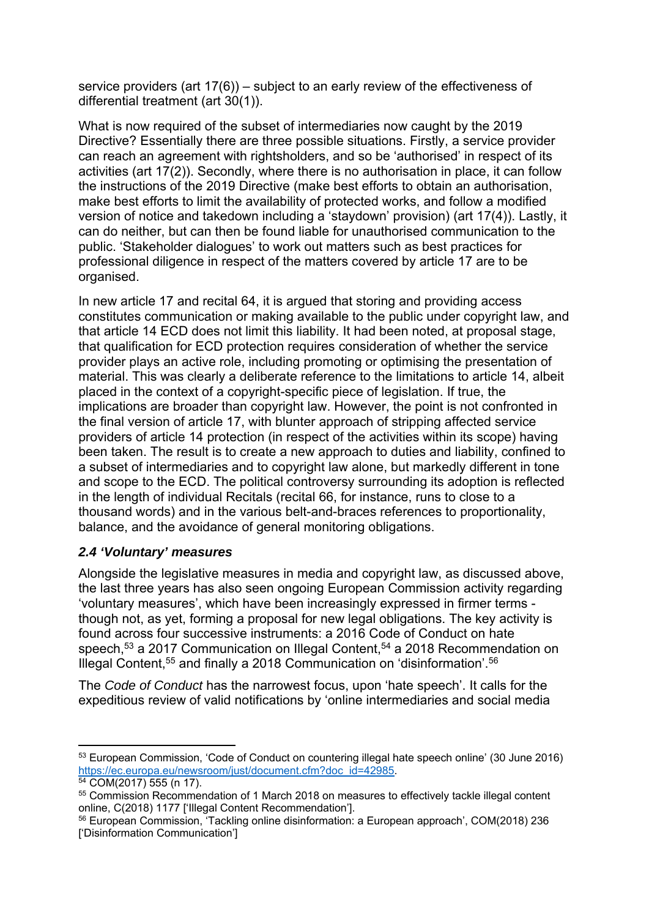service providers (art 17(6)) – subject to an early review of the effectiveness of differential treatment (art 30(1)).

What is now required of the subset of intermediaries now caught by the 2019 Directive? Essentially there are three possible situations. Firstly, a service provider can reach an agreement with rightsholders, and so be 'authorised' in respect of its activities (art 17(2)). Secondly, where there is no authorisation in place, it can follow the instructions of the 2019 Directive (make best efforts to obtain an authorisation, make best efforts to limit the availability of protected works, and follow a modified version of notice and takedown including a 'staydown' provision) (art 17(4)). Lastly, it can do neither, but can then be found liable for unauthorised communication to the public. 'Stakeholder dialogues' to work out matters such as best practices for professional diligence in respect of the matters covered by article 17 are to be organised.

In new article 17 and recital 64, it is argued that storing and providing access constitutes communication or making available to the public under copyright law, and that article 14 ECD does not limit this liability. It had been noted, at proposal stage, that qualification for ECD protection requires consideration of whether the service provider plays an active role, including promoting or optimising the presentation of material. This was clearly a deliberate reference to the limitations to article 14, albeit placed in the context of a copyright-specific piece of legislation. If true, the implications are broader than copyright law. However, the point is not confronted in the final version of article 17, with blunter approach of stripping affected service providers of article 14 protection (in respect of the activities within its scope) having been taken. The result is to create a new approach to duties and liability, confined to a subset of intermediaries and to copyright law alone, but markedly different in tone and scope to the ECD. The political controversy surrounding its adoption is reflected in the length of individual Recitals (recital 66, for instance, runs to close to a thousand words) and in the various belt-and-braces references to proportionality, balance, and the avoidance of general monitoring obligations.

### *2.4 'Voluntary' measures*

Alongside the legislative measures in media and copyright law, as discussed above, the last three years has also seen ongoing European Commission activity regarding 'voluntary measures', which have been increasingly expressed in firmer terms though not, as yet, forming a proposal for new legal obligations. The key activity is found across four successive instruments: a 2016 Code of Conduct on hate speech,<sup>53</sup> a 2017 Communication on Illegal Content,<sup>54</sup> a 2018 Recommendation on Illegal Content,  $55$  and finally a 2018 Communication on 'disinformation'.  $56$ 

The *Code of Conduct* has the narrowest focus, upon 'hate speech'. It calls for the expeditious review of valid notifications by 'online intermediaries and social media

 53 European Commission, 'Code of Conduct on countering illegal hate speech online' (30 June 2016) https://ec.europa.eu/newsroom/just/document.cfm?doc\_id=42985.<br><sup>54</sup> COM(2017) 555 (n 17).

<sup>55</sup> Commission Recommendation of 1 March 2018 on measures to effectively tackle illegal content online, C(2018) 1177 ['Illegal Content Recommendation'].

<sup>56</sup> European Commission, 'Tackling online disinformation: a European approach', COM(2018) 236 ['Disinformation Communication']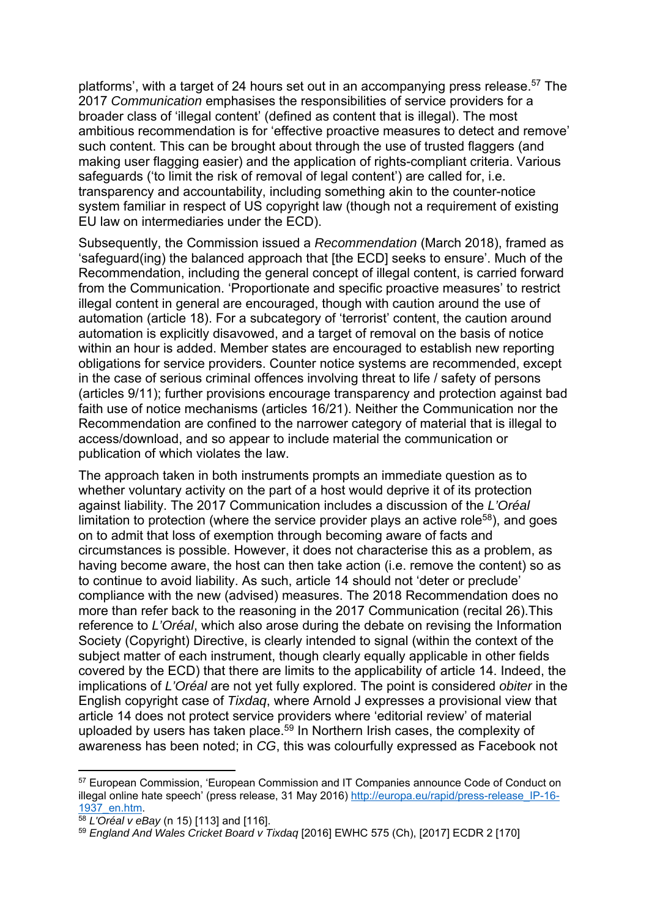platforms', with a target of 24 hours set out in an accompanying press release.<sup>57</sup> The 2017 *Communication* emphasises the responsibilities of service providers for a broader class of 'illegal content' (defined as content that is illegal). The most ambitious recommendation is for 'effective proactive measures to detect and remove' such content. This can be brought about through the use of trusted flaggers (and making user flagging easier) and the application of rights-compliant criteria. Various safeguards ('to limit the risk of removal of legal content') are called for, i.e. transparency and accountability, including something akin to the counter-notice system familiar in respect of US copyright law (though not a requirement of existing EU law on intermediaries under the ECD).

Subsequently, the Commission issued a *Recommendation* (March 2018), framed as 'safeguard(ing) the balanced approach that [the ECD] seeks to ensure'. Much of the Recommendation, including the general concept of illegal content, is carried forward from the Communication. 'Proportionate and specific proactive measures' to restrict illegal content in general are encouraged, though with caution around the use of automation (article 18). For a subcategory of 'terrorist' content, the caution around automation is explicitly disavowed, and a target of removal on the basis of notice within an hour is added. Member states are encouraged to establish new reporting obligations for service providers. Counter notice systems are recommended, except in the case of serious criminal offences involving threat to life / safety of persons (articles 9/11); further provisions encourage transparency and protection against bad faith use of notice mechanisms (articles 16/21). Neither the Communication nor the Recommendation are confined to the narrower category of material that is illegal to access/download, and so appear to include material the communication or publication of which violates the law.

The approach taken in both instruments prompts an immediate question as to whether voluntary activity on the part of a host would deprive it of its protection against liability. The 2017 Communication includes a discussion of the *L'Oréal*  limitation to protection (where the service provider plays an active role<sup>58</sup>), and goes on to admit that loss of exemption through becoming aware of facts and circumstances is possible. However, it does not characterise this as a problem, as having become aware, the host can then take action (i.e. remove the content) so as to continue to avoid liability. As such, article 14 should not 'deter or preclude' compliance with the new (advised) measures. The 2018 Recommendation does no more than refer back to the reasoning in the 2017 Communication (recital 26).This reference to *L'Oréal*, which also arose during the debate on revising the Information Society (Copyright) Directive, is clearly intended to signal (within the context of the subject matter of each instrument, though clearly equally applicable in other fields covered by the ECD) that there are limits to the applicability of article 14. Indeed, the implications of *L'Oréal* are not yet fully explored. The point is considered *obiter* in the English copyright case of *Tixdaq*, where Arnold J expresses a provisional view that article 14 does not protect service providers where 'editorial review' of material uploaded by users has taken place.<sup>59</sup> In Northern Irish cases, the complexity of awareness has been noted; in *CG*, this was colourfully expressed as Facebook not

<sup>57</sup> European Commission, 'European Commission and IT Companies announce Code of Conduct on illegal online hate speech' (press release, 31 May 2016) http://europa.eu/rapid/press-release\_IP-16-<br>1937 en.htm.

<sup>&</sup>lt;sup>58</sup> *L'Oréal v eBay* (n 15) [113] and [116].

<sup>59</sup> *England And Wales Cricket Board v Tixdaq* [2016] EWHC 575 (Ch), [2017] ECDR 2 [170]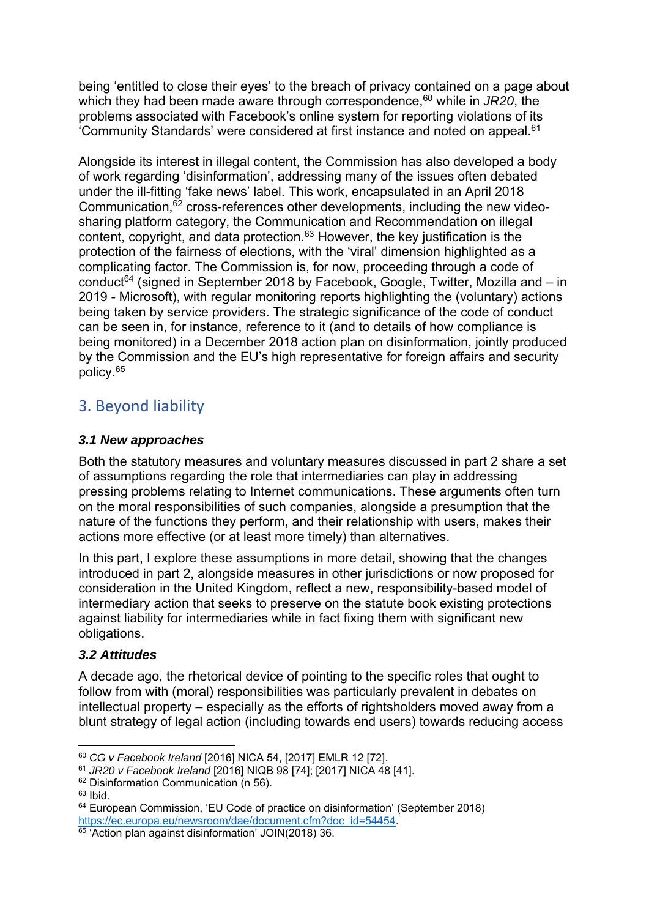being 'entitled to close their eyes' to the breach of privacy contained on a page about which they had been made aware through correspondence,<sup>60</sup> while in JR20, the problems associated with Facebook's online system for reporting violations of its 'Community Standards' were considered at first instance and noted on appeal.61

Alongside its interest in illegal content, the Commission has also developed a body of work regarding 'disinformation', addressing many of the issues often debated under the ill-fitting 'fake news' label. This work, encapsulated in an April 2018 Communication,62 cross-references other developments, including the new videosharing platform category, the Communication and Recommendation on illegal content, copyright, and data protection.63 However, the key justification is the protection of the fairness of elections, with the 'viral' dimension highlighted as a complicating factor. The Commission is, for now, proceeding through a code of conduct<sup>64</sup> (signed in September 2018 by Facebook, Google, Twitter, Mozilla and – in 2019 - Microsoft), with regular monitoring reports highlighting the (voluntary) actions being taken by service providers. The strategic significance of the code of conduct can be seen in, for instance, reference to it (and to details of how compliance is being monitored) in a December 2018 action plan on disinformation, jointly produced by the Commission and the EU's high representative for foreign affairs and security policy.65

# 3. Beyond liability

## *3.1 New approaches*

Both the statutory measures and voluntary measures discussed in part 2 share a set of assumptions regarding the role that intermediaries can play in addressing pressing problems relating to Internet communications. These arguments often turn on the moral responsibilities of such companies, alongside a presumption that the nature of the functions they perform, and their relationship with users, makes their actions more effective (or at least more timely) than alternatives.

In this part, I explore these assumptions in more detail, showing that the changes introduced in part 2, alongside measures in other jurisdictions or now proposed for consideration in the United Kingdom, reflect a new, responsibility-based model of intermediary action that seeks to preserve on the statute book existing protections against liability for intermediaries while in fact fixing them with significant new obligations.

### *3.2 Attitudes*

A decade ago, the rhetorical device of pointing to the specific roles that ought to follow from with (moral) responsibilities was particularly prevalent in debates on intellectual property – especially as the efforts of rightsholders moved away from a blunt strategy of legal action (including towards end users) towards reducing access

 <sup>60</sup> *CG v Facebook Ireland* [2016] NICA 54, [2017] EMLR 12 [72].

<sup>61</sup> *JR20 v Facebook Ireland* [2016] NIQB 98 [74]; [2017] NICA 48 [41].

<sup>62</sup> Disinformation Communication (n 56).

 $63$  Ibid.

 $64$  European Commission, 'EU Code of practice on disinformation' (September 2018) https://ec.europa.eu/newsroom/dae/document.cfm?doc\_id=54454.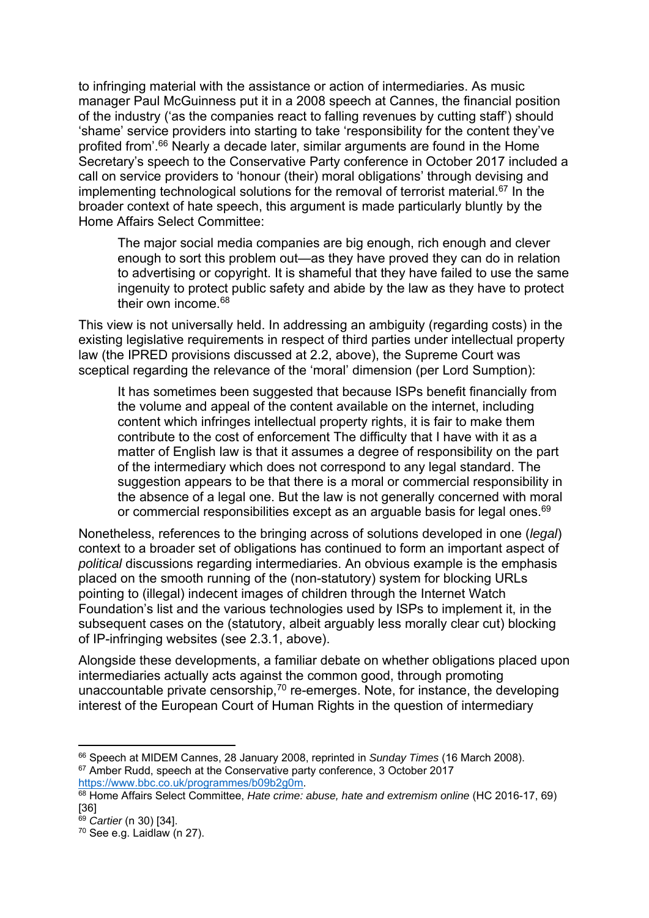to infringing material with the assistance or action of intermediaries. As music manager Paul McGuinness put it in a 2008 speech at Cannes, the financial position of the industry ('as the companies react to falling revenues by cutting staff') should 'shame' service providers into starting to take 'responsibility for the content they've profited from'.66 Nearly a decade later, similar arguments are found in the Home Secretary's speech to the Conservative Party conference in October 2017 included a call on service providers to 'honour (their) moral obligations' through devising and implementing technological solutions for the removal of terrorist material.<sup>67</sup> In the broader context of hate speech, this argument is made particularly bluntly by the Home Affairs Select Committee:

The major social media companies are big enough, rich enough and clever enough to sort this problem out—as they have proved they can do in relation to advertising or copyright. It is shameful that they have failed to use the same ingenuity to protect public safety and abide by the law as they have to protect their own income.<sup>68</sup>

This view is not universally held. In addressing an ambiguity (regarding costs) in the existing legislative requirements in respect of third parties under intellectual property law (the IPRED provisions discussed at 2.2, above), the Supreme Court was sceptical regarding the relevance of the 'moral' dimension (per Lord Sumption):

It has sometimes been suggested that because ISPs benefit financially from the volume and appeal of the content available on the internet, including content which infringes intellectual property rights, it is fair to make them contribute to the cost of enforcement The difficulty that I have with it as a matter of English law is that it assumes a degree of responsibility on the part of the intermediary which does not correspond to any legal standard. The suggestion appears to be that there is a moral or commercial responsibility in the absence of a legal one. But the law is not generally concerned with moral or commercial responsibilities except as an arguable basis for legal ones.<sup>69</sup>

Nonetheless, references to the bringing across of solutions developed in one (*legal*) context to a broader set of obligations has continued to form an important aspect of *political* discussions regarding intermediaries. An obvious example is the emphasis placed on the smooth running of the (non-statutory) system for blocking URLs pointing to (illegal) indecent images of children through the Internet Watch Foundation's list and the various technologies used by ISPs to implement it, in the subsequent cases on the (statutory, albeit arguably less morally clear cut) blocking of IP-infringing websites (see 2.3.1, above).

Alongside these developments, a familiar debate on whether obligations placed upon intermediaries actually acts against the common good, through promoting unaccountable private censorship, $70$  re-emerges. Note, for instance, the developing interest of the European Court of Human Rights in the question of intermediary

<sup>66</sup> Speech at MIDEM Cannes, 28 January 2008, reprinted in *Sunday Times* (16 March 2008).  $67$  Amber Rudd, speech at the Conservative party conference, 3 October 2017

https://www.bbc.co.uk/programmes/b09b2g0m.<br><sup>68</sup> Home Affairs Select Committee, *Hate crime: abuse, hate and extremism online* (HC 2016-17, 69) [36]

<sup>69</sup> *Cartier* (n 30) [34].

 $70$  See e.g. Laidlaw (n 27).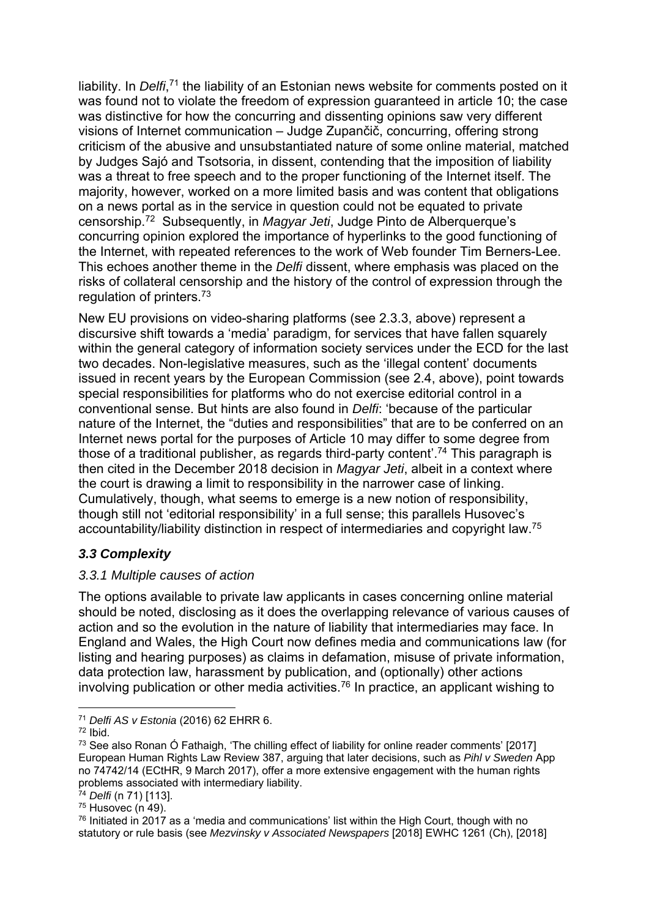liability. In *Delfi*,<sup>71</sup> the liability of an Estonian news website for comments posted on it was found not to violate the freedom of expression guaranteed in article 10; the case was distinctive for how the concurring and dissenting opinions saw very different visions of Internet communication – Judge Zupančič, concurring, offering strong criticism of the abusive and unsubstantiated nature of some online material, matched by Judges Sajó and Tsotsoria, in dissent, contending that the imposition of liability was a threat to free speech and to the proper functioning of the Internet itself. The majority, however, worked on a more limited basis and was content that obligations on a news portal as in the service in question could not be equated to private censorship.72 Subsequently, in *Magyar Jeti*, Judge Pinto de Alberquerque's concurring opinion explored the importance of hyperlinks to the good functioning of the Internet, with repeated references to the work of Web founder Tim Berners-Lee. This echoes another theme in the *Delfi* dissent, where emphasis was placed on the risks of collateral censorship and the history of the control of expression through the regulation of printers.73

New EU provisions on video-sharing platforms (see 2.3.3, above) represent a discursive shift towards a 'media' paradigm, for services that have fallen squarely within the general category of information society services under the ECD for the last two decades. Non-legislative measures, such as the 'illegal content' documents issued in recent years by the European Commission (see 2.4, above), point towards special responsibilities for platforms who do not exercise editorial control in a conventional sense. But hints are also found in *Delfi*: 'because of the particular nature of the Internet, the "duties and responsibilities" that are to be conferred on an Internet news portal for the purposes of Article 10 may differ to some degree from those of a traditional publisher, as regards third-party content'.74 This paragraph is then cited in the December 2018 decision in *Magyar Jeti*, albeit in a context where the court is drawing a limit to responsibility in the narrower case of linking. Cumulatively, though, what seems to emerge is a new notion of responsibility, though still not 'editorial responsibility' in a full sense; this parallels Husovec's accountability/liability distinction in respect of intermediaries and copyright law.75

### *3.3 Complexity*

### *3.3.1 Multiple causes of action*

The options available to private law applicants in cases concerning online material should be noted, disclosing as it does the overlapping relevance of various causes of action and so the evolution in the nature of liability that intermediaries may face. In England and Wales, the High Court now defines media and communications law (for listing and hearing purposes) as claims in defamation, misuse of private information, data protection law, harassment by publication, and (optionally) other actions involving publication or other media activities.<sup>76</sup> In practice, an applicant wishing to

 <sup>71</sup> *Delfi AS v Estonia* (2016) 62 EHRR 6.

 $72$  Ibid.

<sup>&</sup>lt;sup>73</sup> See also Ronan Ó Fathaigh, 'The chilling effect of liability for online reader comments' [2017] European Human Rights Law Review 387, arguing that later decisions, such as *Pihl v Sweden* App no 74742/14 (ECtHR, 9 March 2017), offer a more extensive engagement with the human rights problems associated with intermediary liability.

<sup>74</sup> *Delfi* (n 71) [113].

 $75$  Husovec (n 49).

 $76$  Initiated in 2017 as a 'media and communications' list within the High Court, though with no statutory or rule basis (see *Mezvinsky v Associated Newspapers* [2018] EWHC 1261 (Ch), [2018]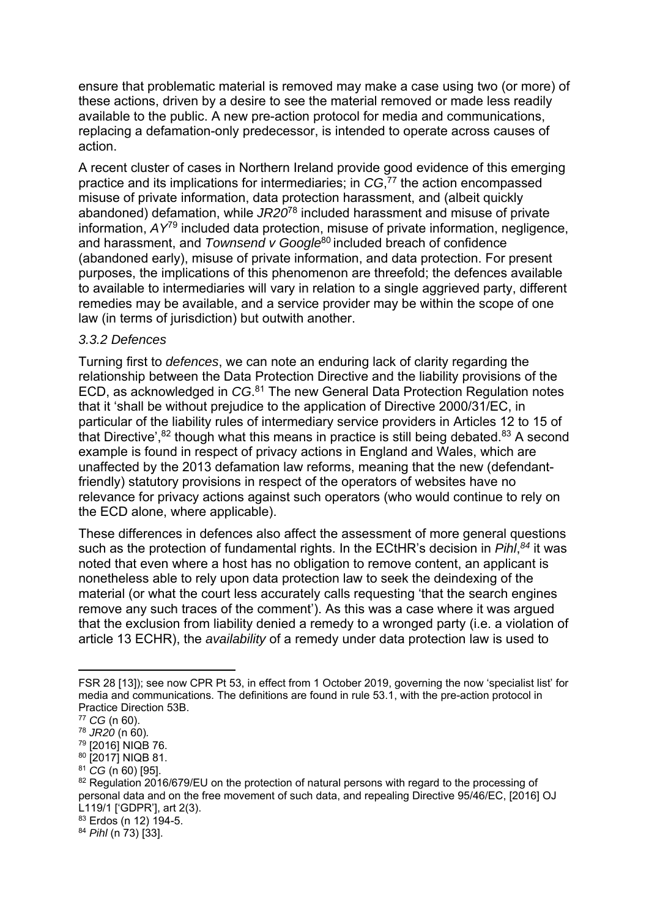ensure that problematic material is removed may make a case using two (or more) of these actions, driven by a desire to see the material removed or made less readily available to the public. A new pre-action protocol for media and communications, replacing a defamation-only predecessor, is intended to operate across causes of action.

A recent cluster of cases in Northern Ireland provide good evidence of this emerging practice and its implications for intermediaries; in *CG*, 77 the action encompassed misuse of private information, data protection harassment, and (albeit quickly abandoned) defamation, while *JR20*<sup>78</sup> included harassment and misuse of private information, *AY*<sup>79</sup> included data protection, misuse of private information, negligence, and harassment, and *Townsend v Google*<sup>80</sup> included breach of confidence (abandoned early), misuse of private information, and data protection. For present purposes, the implications of this phenomenon are threefold; the defences available to available to intermediaries will vary in relation to a single aggrieved party, different remedies may be available, and a service provider may be within the scope of one law (in terms of jurisdiction) but outwith another.

### *3.3.2 Defences*

Turning first to *defences*, we can note an enduring lack of clarity regarding the relationship between the Data Protection Directive and the liability provisions of the ECD, as acknowledged in CG.<sup>81</sup> The new General Data Protection Regulation notes that it 'shall be without prejudice to the application of Directive 2000/31/EC, in particular of the liability rules of intermediary service providers in Articles 12 to 15 of that Directive',  $82$  though what this means in practice is still being debated.  $83$  A second example is found in respect of privacy actions in England and Wales, which are unaffected by the 2013 defamation law reforms, meaning that the new (defendantfriendly) statutory provisions in respect of the operators of websites have no relevance for privacy actions against such operators (who would continue to rely on the ECD alone, where applicable).

These differences in defences also affect the assessment of more general questions such as the protection of fundamental rights. In the ECtHR's decision in *Pihl*, *<sup>84</sup>* it was noted that even where a host has no obligation to remove content, an applicant is nonetheless able to rely upon data protection law to seek the deindexing of the material (or what the court less accurately calls requesting 'that the search engines remove any such traces of the comment'). As this was a case where it was argued that the exclusion from liability denied a remedy to a wronged party (i.e. a violation of article 13 ECHR), the *availability* of a remedy under data protection law is used to

FSR 28 [13]); see now CPR Pt 53, in effect from 1 October 2019, governing the now 'specialist list' for media and communications. The definitions are found in rule 53.1, with the pre-action protocol in Practice Direction 53B.

<sup>77</sup> *CG* (n 60).

<sup>78</sup> *JR20* (n 60)*.*

<sup>79 [2016]</sup> NIQB 76.

<sup>80 [2017]</sup> NIQB 81.

<sup>81</sup> *CG* (n 60) [95].

<sup>82</sup> Regulation 2016/679/EU on the protection of natural persons with regard to the processing of personal data and on the free movement of such data, and repealing Directive 95/46/EC, [2016] OJ L119/1 ['GDPR'], art 2(3).

<sup>83</sup> Erdos (n 12) 194-5.

<sup>84</sup> *Pihl* (n 73) [33].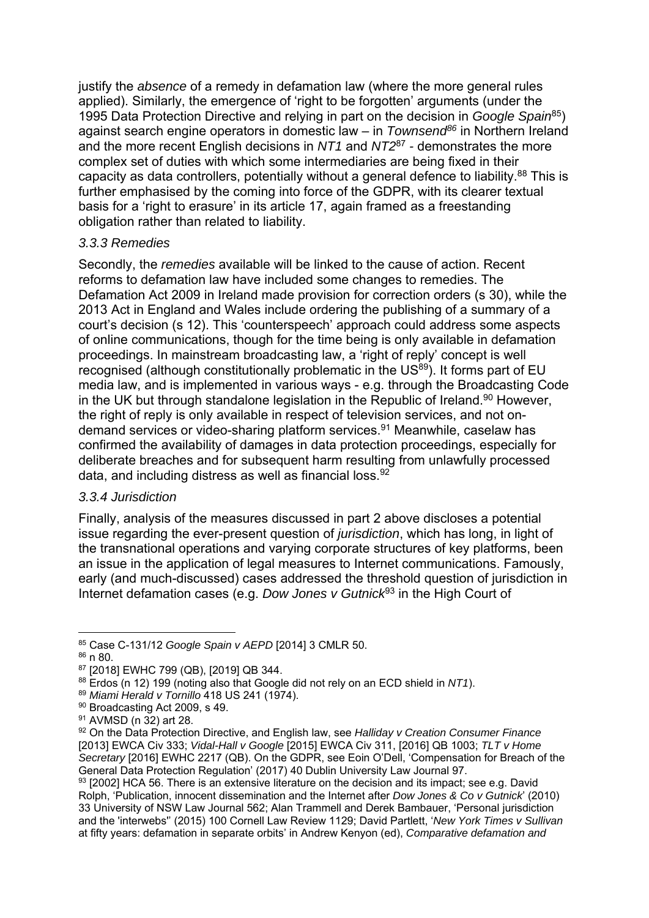justify the *absence* of a remedy in defamation law (where the more general rules applied). Similarly, the emergence of 'right to be forgotten' arguments (under the 1995 Data Protection Directive and relying in part on the decision in *Google Spain*85) against search engine operators in domestic law – in *Townsend<sup>86</sup>* in Northern Ireland and the more recent English decisions in *NT1* and *NT2*<sup>87</sup> *-* demonstrates the more complex set of duties with which some intermediaries are being fixed in their capacity as data controllers, potentially without a general defence to liability.<sup>88</sup> This is further emphasised by the coming into force of the GDPR, with its clearer textual basis for a 'right to erasure' in its article 17, again framed as a freestanding obligation rather than related to liability.

### *3.3.3 Remedies*

Secondly, the *remedies* available will be linked to the cause of action. Recent reforms to defamation law have included some changes to remedies. The Defamation Act 2009 in Ireland made provision for correction orders (s 30), while the 2013 Act in England and Wales include ordering the publishing of a summary of a court's decision (s 12). This 'counterspeech' approach could address some aspects of online communications, though for the time being is only available in defamation proceedings. In mainstream broadcasting law, a 'right of reply' concept is well recognised (although constitutionally problematic in the US<sup>89</sup>). It forms part of EU media law, and is implemented in various ways - e.g. through the Broadcasting Code in the UK but through standalone legislation in the Republic of Ireland.<sup>90</sup> However, the right of reply is only available in respect of television services, and not ondemand services or video-sharing platform services.<sup>91</sup> Meanwhile, caselaw has confirmed the availability of damages in data protection proceedings, especially for deliberate breaches and for subsequent harm resulting from unlawfully processed data, and including distress as well as financial loss.<sup>92</sup>

### *3.3.4 Jurisdiction*

Finally, analysis of the measures discussed in part 2 above discloses a potential issue regarding the ever-present question of *jurisdiction*, which has long, in light of the transnational operations and varying corporate structures of key platforms, been an issue in the application of legal measures to Internet communications. Famously, early (and much-discussed) cases addressed the threshold question of jurisdiction in Internet defamation cases (e.g. *Dow Jones v Gutnick*<sup>93</sup> in the High Court of

 85 Case C-131/12 *Google Spain v AEPD* [2014] 3 CMLR 50.

<sup>86</sup> n 80.

<sup>87 [2018]</sup> EWHC 799 (QB), [2019] QB 344.

<sup>88</sup> Erdos (n 12) 199 (noting also that Google did not rely on an ECD shield in *NT1*).

<sup>89</sup> *Miami Herald v Tornillo* 418 US 241 (1974).

<sup>90</sup> Broadcasting Act 2009, s 49.

<sup>91</sup> AVMSD (n 32) art 28.

<sup>92</sup> On the Data Protection Directive, and English law, see *Halliday v Creation Consumer Finance* [2013] EWCA Civ 333; *Vidal-Hall v Google* [2015] EWCA Civ 311, [2016] QB 1003; *TLT v Home Secretary* [2016] EWHC 2217 (QB). On the GDPR, see Eoin O'Dell, 'Compensation for Breach of the General Data Protection Regulation' (2017) 40 Dublin University Law Journal 97.

<sup>93 [2002]</sup> HCA 56. There is an extensive literature on the decision and its impact; see e.g. David Rolph, 'Publication, innocent dissemination and the Internet after *Dow Jones & Co v Gutnick*' (2010) 33 University of NSW Law Journal 562; Alan Trammell and Derek Bambauer, 'Personal jurisdiction and the 'interwebs'' (2015) 100 Cornell Law Review 1129; David Partlett, '*New York Times v Sullivan*  at fifty years: defamation in separate orbits' in Andrew Kenyon (ed), *Comparative defamation and*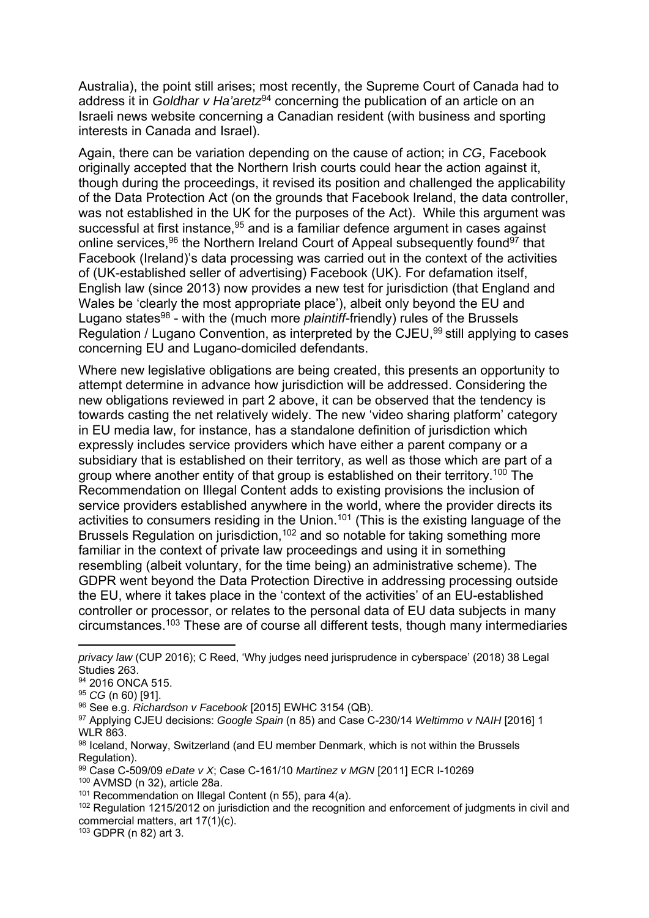Australia), the point still arises; most recently, the Supreme Court of Canada had to address it in *Goldhar v Ha'aretz*94 concerning the publication of an article on an Israeli news website concerning a Canadian resident (with business and sporting interests in Canada and Israel).

Again, there can be variation depending on the cause of action; in *CG*, Facebook originally accepted that the Northern Irish courts could hear the action against it, though during the proceedings, it revised its position and challenged the applicability of the Data Protection Act (on the grounds that Facebook Ireland, the data controller, was not established in the UK for the purposes of the Act). While this argument was successful at first instance, <sup>95</sup> and is a familiar defence argument in cases against online services,<sup>96</sup> the Northern Ireland Court of Appeal subsequently found<sup>97</sup> that Facebook (Ireland)'s data processing was carried out in the context of the activities of (UK-established seller of advertising) Facebook (UK). For defamation itself, English law (since 2013) now provides a new test for jurisdiction (that England and Wales be 'clearly the most appropriate place'), albeit only beyond the EU and Lugano states98 - with the (much more *plaintiff*-friendly) rules of the Brussels Regulation / Lugano Convention, as interpreted by the CJEU.<sup>99</sup> still applying to cases concerning EU and Lugano-domiciled defendants.

Where new legislative obligations are being created, this presents an opportunity to attempt determine in advance how jurisdiction will be addressed. Considering the new obligations reviewed in part 2 above, it can be observed that the tendency is towards casting the net relatively widely. The new 'video sharing platform' category in EU media law, for instance, has a standalone definition of jurisdiction which expressly includes service providers which have either a parent company or a subsidiary that is established on their territory, as well as those which are part of a group where another entity of that group is established on their territory.100 The Recommendation on Illegal Content adds to existing provisions the inclusion of service providers established anywhere in the world, where the provider directs its activities to consumers residing in the Union.101 (This is the existing language of the Brussels Regulation on jurisdiction,<sup>102</sup> and so notable for taking something more familiar in the context of private law proceedings and using it in something resembling (albeit voluntary, for the time being) an administrative scheme). The GDPR went beyond the Data Protection Directive in addressing processing outside the EU, where it takes place in the 'context of the activities' of an EU-established controller or processor, or relates to the personal data of EU data subjects in many circumstances.103 These are of course all different tests, though many intermediaries

*privacy law* (CUP 2016); C Reed, 'Why judges need jurisprudence in cyberspace' (2018) 38 Legal Studies 263.

<sup>94 2016</sup> ONCA 515.

<sup>95</sup> *CG* (n 60) [91].

<sup>96</sup> See e.g. *Richardson v Facebook* [2015] EWHC 3154 (QB).

<sup>97</sup> Applying CJEU decisions: *Google Spain* (n 85) and Case C-230/14 *Weltimmo v NAIH* [2016] 1 WLR 863.

<sup>98</sup> Iceland, Norway, Switzerland (and EU member Denmark, which is not within the Brussels Regulation).

<sup>99</sup> Case C-509/09 *eDate v X*; Case C-161/10 *Martinez v MGN* [2011] ECR I-10269

<sup>100</sup> AVMSD (n 32), article 28a.

 $101$  Recommendation on Illegal Content (n 55), para  $4(a)$ .

 $102$  Regulation 1215/2012 on jurisdiction and the recognition and enforcement of judgments in civil and commercial matters, art 17(1)(c).

<sup>103</sup> GDPR (n 82) art 3.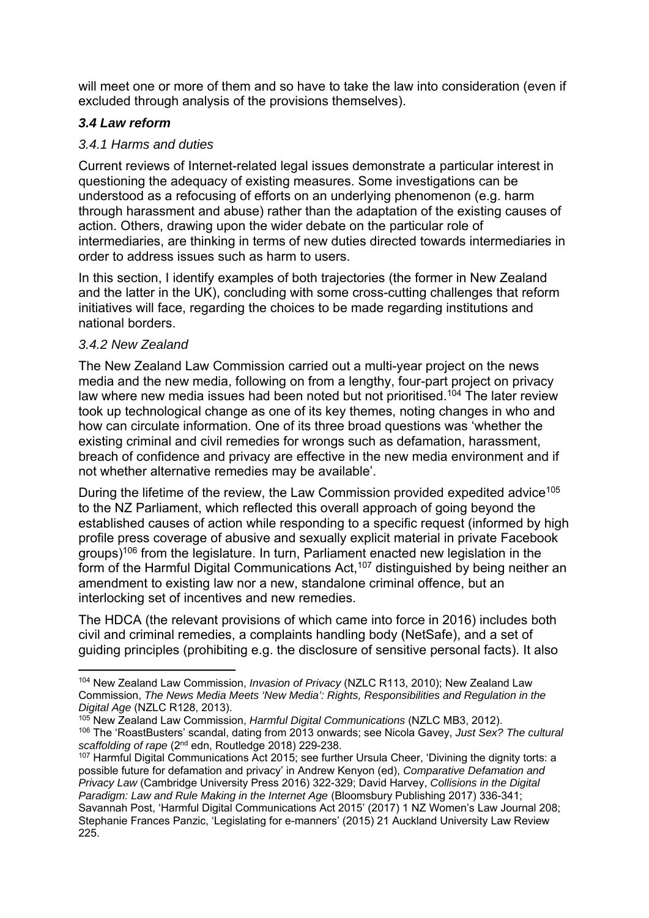will meet one or more of them and so have to take the law into consideration (even if excluded through analysis of the provisions themselves).

### *3.4 Law reform*

### *3.4.1 Harms and duties*

Current reviews of Internet-related legal issues demonstrate a particular interest in questioning the adequacy of existing measures. Some investigations can be understood as a refocusing of efforts on an underlying phenomenon (e.g. harm through harassment and abuse) rather than the adaptation of the existing causes of action. Others, drawing upon the wider debate on the particular role of intermediaries, are thinking in terms of new duties directed towards intermediaries in order to address issues such as harm to users.

In this section, I identify examples of both trajectories (the former in New Zealand and the latter in the UK), concluding with some cross-cutting challenges that reform initiatives will face, regarding the choices to be made regarding institutions and national borders.

### *3.4.2 New Zealand*

The New Zealand Law Commission carried out a multi-year project on the news media and the new media, following on from a lengthy, four-part project on privacy law where new media issues had been noted but not prioritised.<sup>104</sup> The later review took up technological change as one of its key themes, noting changes in who and how can circulate information. One of its three broad questions was 'whether the existing criminal and civil remedies for wrongs such as defamation, harassment, breach of confidence and privacy are effective in the new media environment and if not whether alternative remedies may be available'.

During the lifetime of the review, the Law Commission provided expedited advice<sup>105</sup> to the NZ Parliament, which reflected this overall approach of going beyond the established causes of action while responding to a specific request (informed by high profile press coverage of abusive and sexually explicit material in private Facebook groups)106 from the legislature. In turn, Parliament enacted new legislation in the form of the Harmful Digital Communications Act,<sup>107</sup> distinguished by being neither an amendment to existing law nor a new, standalone criminal offence, but an interlocking set of incentives and new remedies.

The HDCA (the relevant provisions of which came into force in 2016) includes both civil and criminal remedies, a complaints handling body (NetSafe), and a set of guiding principles (prohibiting e.g. the disclosure of sensitive personal facts). It also

<sup>104</sup> New Zealand Law Commission, *Invasion of Privacy* (NZLC R113, 2010); New Zealand Law Commission, *The News Media Meets 'New Media': Rights, Responsibilities and Regulation in the Digital Age* (NZLC R128, 2013).

<sup>105</sup> New Zealand Law Commission, *Harmful Digital Communications* (NZLC MB3, 2012). 106 The 'RoastBusters' scandal, dating from 2013 onwards; see Nicola Gavey, *Just Sex? The cultural scaffolding of rape* (2nd edn, Routledge 2018) 229-238.

<sup>107</sup> Harmful Digital Communications Act 2015; see further Ursula Cheer, 'Divining the dignity torts: a possible future for defamation and privacy' in Andrew Kenyon (ed), *Comparative Defamation and Privacy Law* (Cambridge University Press 2016) 322-329; David Harvey, *Collisions in the Digital Paradigm: Law and Rule Making in the Internet Age* (Bloomsbury Publishing 2017) 336-341; Savannah Post, 'Harmful Digital Communications Act 2015' (2017) 1 NZ Women's Law Journal 208; Stephanie Frances Panzic, 'Legislating for e-manners' (2015) 21 Auckland University Law Review 225.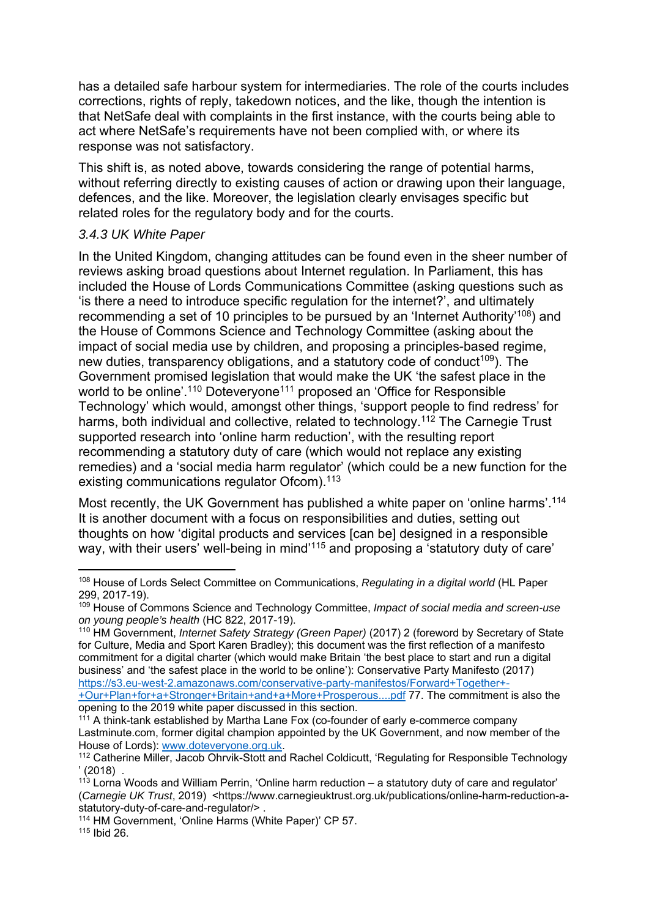has a detailed safe harbour system for intermediaries. The role of the courts includes corrections, rights of reply, takedown notices, and the like, though the intention is that NetSafe deal with complaints in the first instance, with the courts being able to act where NetSafe's requirements have not been complied with, or where its response was not satisfactory.

This shift is, as noted above, towards considering the range of potential harms, without referring directly to existing causes of action or drawing upon their language, defences, and the like. Moreover, the legislation clearly envisages specific but related roles for the regulatory body and for the courts.

### *3.4.3 UK White Paper*

In the United Kingdom, changing attitudes can be found even in the sheer number of reviews asking broad questions about Internet regulation. In Parliament, this has included the House of Lords Communications Committee (asking questions such as 'is there a need to introduce specific regulation for the internet?', and ultimately recommending a set of 10 principles to be pursued by an 'Internet Authority'108) and the House of Commons Science and Technology Committee (asking about the impact of social media use by children, and proposing a principles-based regime, new duties, transparency obligations, and a statutory code of conduct<sup>109</sup>). The Government promised legislation that would make the UK 'the safest place in the world to be online'.<sup>110</sup> Doteveryone<sup>111</sup> proposed an 'Office for Responsible Technology' which would, amongst other things, 'support people to find redress' for harms, both individual and collective, related to technology.<sup>112</sup> The Carnegie Trust supported research into 'online harm reduction', with the resulting report recommending a statutory duty of care (which would not replace any existing remedies) and a 'social media harm regulator' (which could be a new function for the existing communications regulator Ofcom).<sup>113</sup>

Most recently, the UK Government has published a white paper on 'online harms'.<sup>114</sup> It is another document with a focus on responsibilities and duties, setting out thoughts on how 'digital products and services [can be] designed in a responsible way, with their users' well-being in mind<sup>'115</sup> and proposing a 'statutory duty of care'

110 HM Government, *Internet Safety Strategy (Green Paper)* (2017) 2 (foreword by Secretary of State for Culture, Media and Sport Karen Bradley); this document was the first reflection of a manifesto commitment for a digital charter (which would make Britain 'the best place to start and run a digital business' and 'the safest place in the world to be online'): Conservative Party Manifesto (2017) https://s3.eu-west-2.amazonaws.com/conservative-party-manifestos/Forward+Together+- +Our+Plan+for+a+Stronger+Britain+and+a+More+Prosperous....pdf 77. The commitment is also the opening to the 2019 white paper discussed in this section.

 108 House of Lords Select Committee on Communications, *Regulating in a digital world* (HL Paper 299, 2017-19).

<sup>109</sup> House of Commons Science and Technology Committee, *Impact of social media and screen-use on young people's health* (HC 822, 2017-19).

<sup>&</sup>lt;sup>111</sup> A think-tank established by Martha Lane Fox (co-founder of early e-commerce company Lastminute.com, former digital champion appointed by the UK Government, and now member of the House of Lords): www.doteveryone.org.uk.<br><sup>112</sup> Catherine Miller, Jacob Ohrvik-Stott and Rachel Coldicutt, 'Regulating for Responsible Technology

 $'$  (2018).

<sup>113</sup> Lorna Woods and William Perrin, 'Online harm reduction – a statutory duty of care and regulator' (Carnegie UK Trust, 2019) <https://www.carnegieuktrust.org.uk/publications/online-harm-reduction-astatutory-duty-of-care-and-regulator/> .

<sup>114</sup> HM Government, 'Online Harms (White Paper)' CP 57. 115 Ibid 26.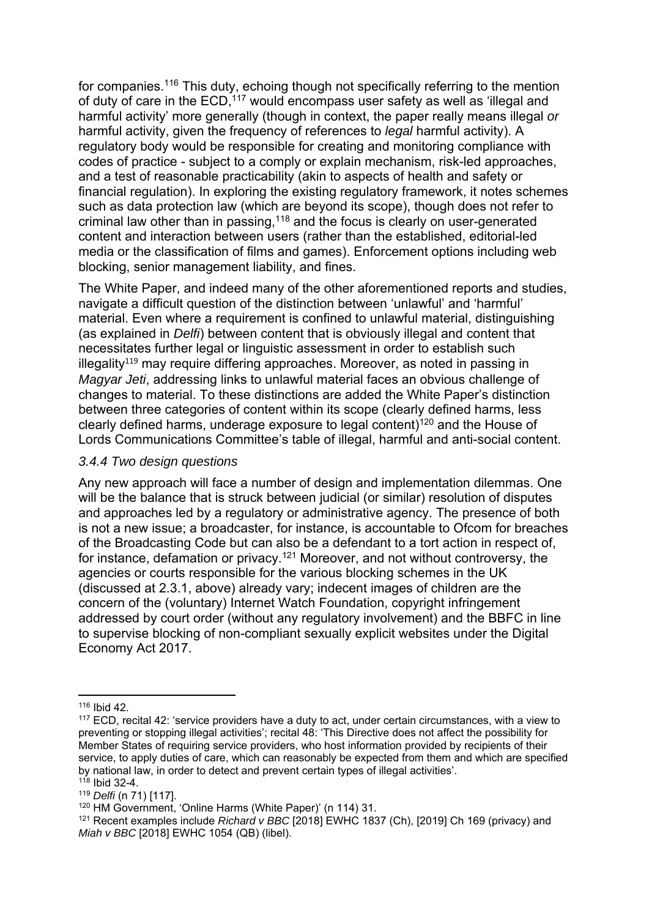for companies.<sup>116</sup> This duty, echoing though not specifically referring to the mention of duty of care in the  $ECD$ ,<sup>117</sup> would encompass user safety as well as 'illegal and harmful activity' more generally (though in context, the paper really means illegal *or*  harmful activity, given the frequency of references to *legal* harmful activity). A regulatory body would be responsible for creating and monitoring compliance with codes of practice - subject to a comply or explain mechanism, risk-led approaches, and a test of reasonable practicability (akin to aspects of health and safety or financial regulation). In exploring the existing regulatory framework, it notes schemes such as data protection law (which are beyond its scope), though does not refer to criminal law other than in passing, $118$  and the focus is clearly on user-generated content and interaction between users (rather than the established, editorial-led media or the classification of films and games). Enforcement options including web blocking, senior management liability, and fines.

The White Paper, and indeed many of the other aforementioned reports and studies, navigate a difficult question of the distinction between 'unlawful' and 'harmful' material. Even where a requirement is confined to unlawful material, distinguishing (as explained in *Delfi*) between content that is obviously illegal and content that necessitates further legal or linguistic assessment in order to establish such  $\mu$ illegality<sup>119</sup> may require differing approaches. Moreover, as noted in passing in *Magyar Jeti*, addressing links to unlawful material faces an obvious challenge of changes to material. To these distinctions are added the White Paper's distinction between three categories of content within its scope (clearly defined harms, less clearly defined harms, underage exposure to legal content)120 and the House of Lords Communications Committee's table of illegal, harmful and anti-social content.

### *3.4.4 Two design questions*

Any new approach will face a number of design and implementation dilemmas. One will be the balance that is struck between judicial (or similar) resolution of disputes and approaches led by a regulatory or administrative agency. The presence of both is not a new issue; a broadcaster, for instance, is accountable to Ofcom for breaches of the Broadcasting Code but can also be a defendant to a tort action in respect of, for instance, defamation or privacy.121 Moreover, and not without controversy, the agencies or courts responsible for the various blocking schemes in the UK (discussed at 2.3.1, above) already vary; indecent images of children are the concern of the (voluntary) Internet Watch Foundation, copyright infringement addressed by court order (without any regulatory involvement) and the BBFC in line to supervise blocking of non-compliant sexually explicit websites under the Digital Economy Act 2017.

 116 Ibid 42.

<sup>&</sup>lt;sup>117</sup> ECD, recital 42: 'service providers have a duty to act, under certain circumstances, with a view to preventing or stopping illegal activities'; recital 48: 'This Directive does not affect the possibility for Member States of requiring service providers, who host information provided by recipients of their service, to apply duties of care, which can reasonably be expected from them and which are specified by national law, in order to detect and prevent certain types of illegal activities'.  $118$  Ibid 32-4.

<sup>119</sup> *Delfi* (n 71) [117].

<sup>120</sup> HM Government, 'Online Harms (White Paper)' (n 114) 31.

<sup>121</sup> Recent examples include *Richard v BBC* [2018] EWHC 1837 (Ch), [2019] Ch 169 (privacy) and *Miah v BBC* [2018] EWHC 1054 (QB) (libel).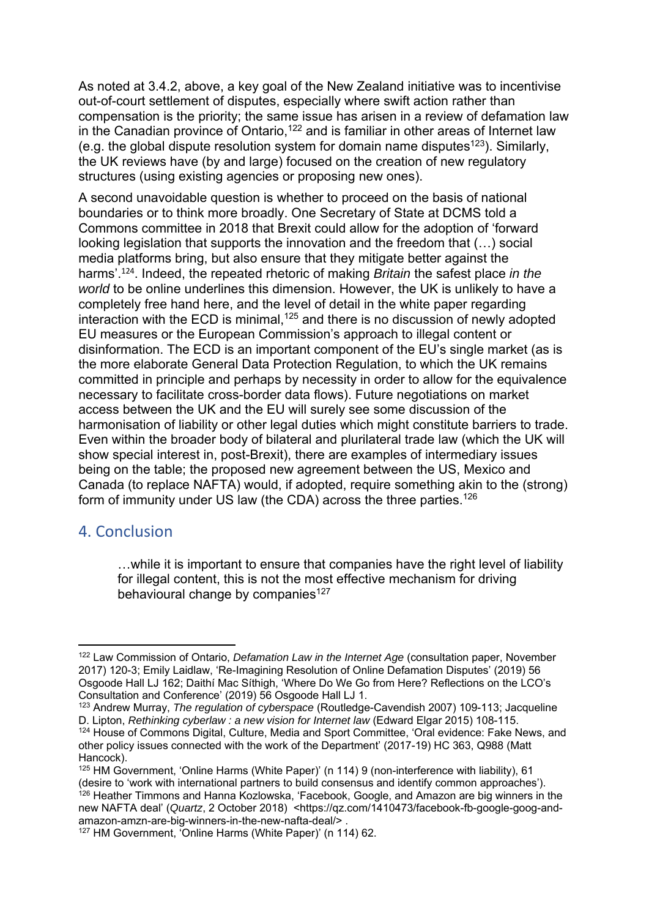As noted at 3.4.2, above, a key goal of the New Zealand initiative was to incentivise out-of-court settlement of disputes, especially where swift action rather than compensation is the priority; the same issue has arisen in a review of defamation law in the Canadian province of Ontario,<sup>122</sup> and is familiar in other areas of Internet law (e.g. the global dispute resolution system for domain name disputes<sup>123</sup>). Similarly, the UK reviews have (by and large) focused on the creation of new regulatory structures (using existing agencies or proposing new ones).

A second unavoidable question is whether to proceed on the basis of national boundaries or to think more broadly. One Secretary of State at DCMS told a Commons committee in 2018 that Brexit could allow for the adoption of 'forward looking legislation that supports the innovation and the freedom that (…) social media platforms bring, but also ensure that they mitigate better against the harms'.<sup>124</sup>. Indeed, the repeated rhetoric of making *Britain* the safest place *in the world* to be online underlines this dimension. However, the UK is unlikely to have a completely free hand here, and the level of detail in the white paper regarding interaction with the ECD is minimal, $125$  and there is no discussion of newly adopted EU measures or the European Commission's approach to illegal content or disinformation. The ECD is an important component of the EU's single market (as is the more elaborate General Data Protection Regulation, to which the UK remains committed in principle and perhaps by necessity in order to allow for the equivalence necessary to facilitate cross-border data flows). Future negotiations on market access between the UK and the EU will surely see some discussion of the harmonisation of liability or other legal duties which might constitute barriers to trade. Even within the broader body of bilateral and plurilateral trade law (which the UK will show special interest in, post-Brexit), there are examples of intermediary issues being on the table; the proposed new agreement between the US, Mexico and Canada (to replace NAFTA) would, if adopted, require something akin to the (strong) form of immunity under US law (the CDA) across the three parties.<sup>126</sup>

## 4. Conclusion

…while it is important to ensure that companies have the right level of liability for illegal content, this is not the most effective mechanism for driving behavioural change by companies<sup>127</sup>

<sup>122</sup> Law Commission of Ontario, *Defamation Law in the Internet Age* (consultation paper, November 2017) 120-3; Emily Laidlaw, 'Re-Imagining Resolution of Online Defamation Disputes' (2019) 56 Osgoode Hall LJ 162; Daithí Mac Síthigh, 'Where Do We Go from Here? Reflections on the LCO's Consultation and Conference' (2019) 56 Osgoode Hall LJ 1.

<sup>123</sup> Andrew Murray, *The regulation of cyberspace* (Routledge-Cavendish 2007) 109-113; Jacqueline D. Lipton, *Rethinking cyberlaw : a new vision for Internet law* (Edward Elgar 2015) 108-115.

<sup>&</sup>lt;sup>124</sup> House of Commons Digital, Culture, Media and Sport Committee, 'Oral evidence: Fake News, and other policy issues connected with the work of the Department' (2017-19) HC 363, Q988 (Matt Hancock).

<sup>125</sup> HM Government, 'Online Harms (White Paper)' (n 114) 9 (non-interference with liability), 61 (desire to 'work with international partners to build consensus and identify common approaches').  $126$  Heather Timmons and Hanna Kozlowska, 'Facebook, Google, and Amazon are big winners in the new NAFTA deal' (*Quartz*, 2 October 2018) <https://qz.com/1410473/facebook-fb-google-goog-andamazon-amzn-are-big-winners-in-the-new-nafta-deal/> .

<sup>127</sup> HM Government, 'Online Harms (White Paper)' (n 114) 62.